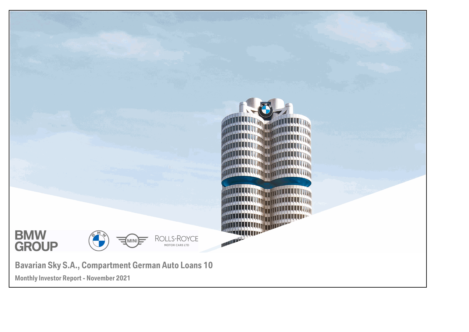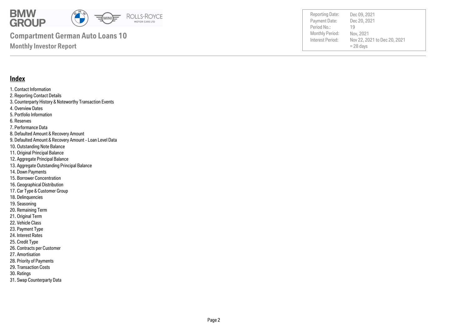

Payment Date: Period No.: Nov 22, 2021 to Dec 20, 2021  $= 28$  days Dec 20, 2021 Nov, 2021 19

Reporting Date: Dec 09, 2021

#### **Monthly Investor Report**

#### **Index**

- 1. Contact Information 2. Reporting Contact Details 3. Counterparty History & Noteworthy Transaction Events 4. Overview Dates 5. Portfolio Information 6. Reserves 7. Performance Data 8. Defaulted Amount & Recovery Amount 9. Defaulted Amount & Recovery Amount - Loan Level Data 10. Outstanding Note Balance 11. Original Principal Balance 12. Aggregate Principal Balance 13. Aggregate Outstanding Principal Balance 14. Down Payments 15. Borrower Concentration 16. Geographical Distribution 17. Car Type & Customer Group 18. Delinquencies 19. Seasoning 20. Remaining Term
- 21. Original Term
- 22. Vehicle Class
- 23. Payment Type
- 24. Interest Rates
- 25. Credit Type
- 26. Contracts per Customer
- 27. Amortisation
- 28. Priority of Payments
- 29. Transaction Costs
- 30. Ratings
- 31. Swap Counterparty Data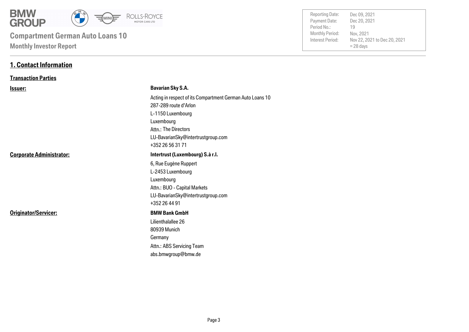

| <b>Reporting Date:</b> | Dec 09, 2021                 |
|------------------------|------------------------------|
| Payment Date:          | Dec 20, 2021                 |
| Period No.:            | 19                           |
| <b>Monthly Period:</b> | Nov, 2021                    |
| Interest Period:       | Nov 22, 2021 to Dec 20, 2021 |
|                        | $= 28$ days                  |
|                        |                              |

#### **1. Contact Information**

#### **Transaction Parties**

| <u>Issuer:</u>                  | <b>Bavarian Sky S.A.</b>                                  |
|---------------------------------|-----------------------------------------------------------|
|                                 | Acting in respect of its Compartment German Auto Loans 10 |
|                                 | 287-289 route d'Arlon                                     |
|                                 | L-1150 Luxembourg                                         |
|                                 | Luxembourg                                                |
|                                 | Attn.: The Directors                                      |
|                                 | LU-BavarianSky@intertrustgroup.com                        |
|                                 | +352 26 56 31 71                                          |
| <b>Corporate Administrator:</b> | Intertrust (Luxembourg) S.à r.l.                          |
|                                 | 6, Rue Eugène Ruppert                                     |
|                                 | L-2453 Luxembourg                                         |
|                                 | Luxembourg                                                |
|                                 | Attn.: BUO - Capital Markets                              |
|                                 | LU-BavarianSky@intertrustgroup.com                        |
|                                 | +352 26 44 91                                             |
| Originator/Servicer:            | <b>BMW Bank GmbH</b>                                      |
|                                 | Lilienthalallee 26                                        |
|                                 | 80939 Munich                                              |
|                                 | Germany                                                   |
|                                 | Attn.: ABS Servicing Team                                 |
|                                 | abs.bmwgroup@bmw.de                                       |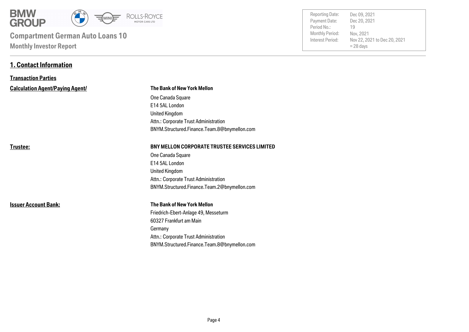

**1. Contact Information**

| <b>Reporting Date:</b> | Dec 09, 2021                 |
|------------------------|------------------------------|
| Payment Date:          | Dec 20, 2021                 |
| Period No.:            | 19                           |
| <b>Monthly Period:</b> | Nov, 2021                    |
| Interest Period:       | Nov 22, 2021 to Dec 20, 2021 |
|                        | $= 28$ days                  |
|                        |                              |

| <b>Transaction Parties</b>             |                                                      |  |  |
|----------------------------------------|------------------------------------------------------|--|--|
| <b>Calculation Agent/Paying Agent/</b> | The Bank of New York Mellon                          |  |  |
|                                        | One Canada Square                                    |  |  |
|                                        | E14 5AL London                                       |  |  |
|                                        | <b>United Kingdom</b>                                |  |  |
|                                        | Attn.: Corporate Trust Administration                |  |  |
|                                        | BNYM.Structured.Finance.Team.8@bnymellon.com         |  |  |
| Trustee:                               | <b>BNY MELLON CORPORATE TRUSTEE SERVICES LIMITED</b> |  |  |
|                                        | One Canada Square                                    |  |  |
|                                        | E14 5AL London                                       |  |  |
|                                        | <b>United Kingdom</b>                                |  |  |
|                                        | Attn.: Corporate Trust Administration                |  |  |
|                                        | BNYM.Structured.Finance.Team.2@bnymellon.com         |  |  |
| <b>Issuer Account Bank:</b>            | <b>The Bank of New York Mellon</b>                   |  |  |
|                                        | Friedrich-Ebert-Anlage 49, Messeturm                 |  |  |
|                                        | 60327 Frankfurt am Main                              |  |  |
|                                        | Germany                                              |  |  |
|                                        | Attn.: Corporate Trust Administration                |  |  |
|                                        | BNYM.Structured.Finance.Team.8@bnymellon.com         |  |  |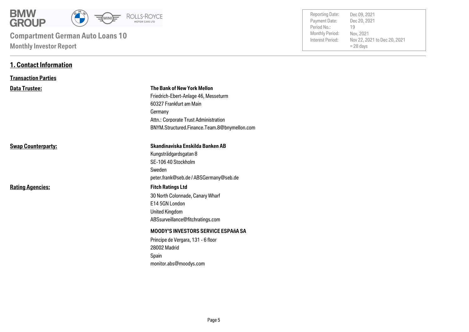

**1. Contact Information**

| <b>Reporting Date:</b><br>Payment Date:<br>Period No.:<br><b>Monthly Period:</b><br>Interest Period: | Dec 09, 2021<br>Dec 20, 2021<br>19<br>Nov, 2021<br>Nov 22, 2021 to Dec 20, 2021<br>$= 28$ days |  |
|------------------------------------------------------------------------------------------------------|------------------------------------------------------------------------------------------------|--|
|                                                                                                      |                                                                                                |  |

| <b>Transaction Parties</b> |                                                                                                                                                                                                    |
|----------------------------|----------------------------------------------------------------------------------------------------------------------------------------------------------------------------------------------------|
| <b>Data Trustee:</b>       | The Bank of New York Mellon<br>Friedrich-Ebert-Anlage 46, Messeturm<br>60327 Frankfurt am Main<br>Germany<br>Attn.: Corporate Trust Administration<br>BNYM.Structured.Finance.Team.8@bnymellon.com |
| <b>Swap Counterparty:</b>  | Skandinaviska Enskilda Banken AB<br>Kungsträdgardsgatan 8<br>SE-106 40 Stockholm<br>Sweden<br>peter.frank@seb.de / ABSGermany@seb.de                                                               |
| <b>Rating Agencies:</b>    | <b>Fitch Ratings Ltd</b><br>30 North Colonnade, Canary Wharf<br>E14 5GN London<br>United Kingdom<br>ABSsurveillance@fitchratings.com                                                               |
|                            | <b>MOODY'S INVESTORS SERVICE ESPAñA SA</b><br>Principe de Vergara, 131 - 6 floor<br>28002 Madrid<br>Spain<br>monitor.abs@moodys.com                                                                |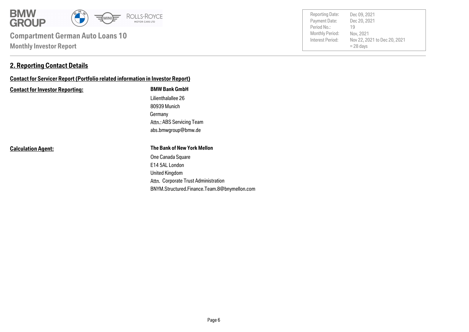

#### **2. Reporting Contact Details**

### **Contact for Servicer Report (Portfolio related information in Investor Report)**

#### **Contact for Investor Reporting: BMW Bank GmbH**

Germany 80939 Munich Lilienthalallee 26 abs.bmwgroup@bmw.de Attn.: ABS Servicing Team

#### **Calculation Agent:**

#### **The Bank of New York Mellon**

Attn. Corporate Trust Administration United Kingdom E14 5AL London One Canada Square BNYM.Structured.Finance.Team.8@bnymellon.com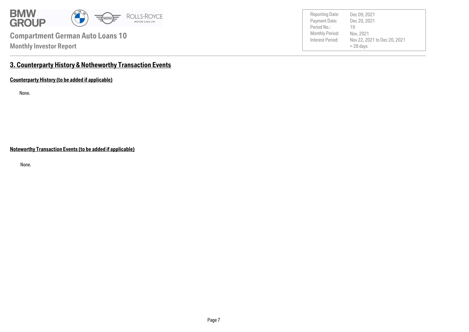

Payment Date: Period No.: Nov 22, 2021 to Dec 20, 2021  $= 28$  days Dec 20, 2021 Nov, 2021 19 Reporting Date: Dec 09, 2021

### **3. Counterparty History & Notheworthy Transaction Events**

**Counterparty History (to be added if applicable)**

None.

**Noteworthy Transaction Events (to be added if applicable)**

None.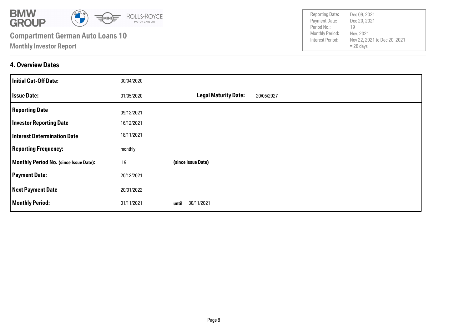

#### **4. Overview Dates**

| <b>Initial Cut-Off Date:</b>                  | 30/04/2020 |                                           |
|-----------------------------------------------|------------|-------------------------------------------|
| <b>Issue Date:</b>                            | 01/05/2020 | <b>Legal Maturity Date:</b><br>20/05/2027 |
| <b>Reporting Date</b>                         | 09/12/2021 |                                           |
| <b>Investor Reporting Date</b>                | 16/12/2021 |                                           |
| <b>Interest Determination Date</b>            | 18/11/2021 |                                           |
| <b>Reporting Frequency:</b>                   | monthly    |                                           |
| <b>Monthly Period No. (since Issue Date):</b> | 19         | (since Issue Date)                        |
| <b>Payment Date:</b>                          | 20/12/2021 |                                           |
| <b>Next Payment Date</b>                      | 20/01/2022 |                                           |
| <b>Monthly Period:</b>                        | 01/11/2021 | 30/11/2021<br>until                       |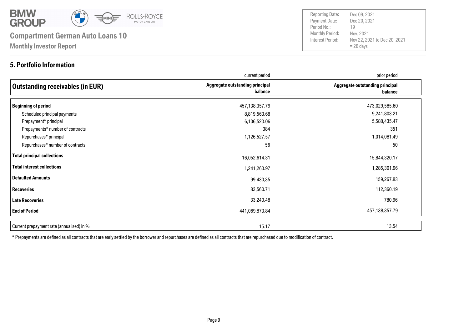

#### **5. Portfolio Information**

Payment Date: Period No.: Nov 22, 2021 to Dec 20, 2021  $= 28$  days Dec 20, 2021 Nov, 2021 19 Reporting Date: Dec 09, 2021

|                                           | current period                             | prior period                               |
|-------------------------------------------|--------------------------------------------|--------------------------------------------|
| <b>Outstanding receivables (in EUR)</b>   | Aggregate outstanding principal<br>balance | Aggregate outstanding principal<br>balance |
| Beginning of period                       | 457,138,357.79                             | 473,029,585.60                             |
| Scheduled principal payments              | 8,819,563.68                               | 9,241,803.21                               |
| Prepayment* principal                     | 6,106,523.06                               | 5,588,435.47                               |
| Prepayments* number of contracts          | 384                                        | 351                                        |
| Repurchases* principal                    | 1,126,527.57                               | 1,014,081.49                               |
| Repurchases* number of contracts          | 56                                         | 50                                         |
| Total principal collections               | 16,052,614.31                              | 15,844,320.17                              |
| Total interest collections                | 1,241,263.97                               | 1,285,301.96                               |
| Defaulted Amounts                         | 99.430,35                                  | 159,267.83                                 |
| <b>Recoveries</b>                         | 83,560.71                                  | 112,360.19                                 |
| Late Recoveries                           | 33,240.48                                  | 780.96                                     |
| <b>End of Period</b>                      | 441,069,873.84                             | 457,138,357.79                             |
| Current prepayment rate (annualised) in % | 15.17                                      | 13.54                                      |

\* Prepayments are defined as all contracts that are early settled by the borrower and repurchases are defined as all contracts that are repurchased due to modification of contract.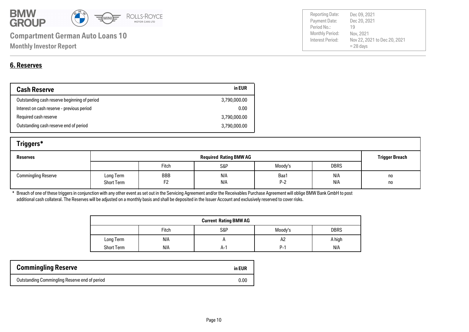

| Payment Date:          | Dec 20, 2021                 |
|------------------------|------------------------------|
| Period No.:            | 19                           |
| <b>Monthly Period:</b> | Nov. 2021                    |
| Interest Period:       | Nov 22, 2021 to Dec 20, 2021 |
|                        | $= 28$ days                  |
|                        |                              |

Reporting Date: Dec 09, 2021

### **6. Reserves**

| <b>Cash Reserve</b>                          | in EUR       |
|----------------------------------------------|--------------|
| Outstanding cash reserve beginning of period | 3,790,000.00 |
| Interest on cash reserve - previous period   | 0.00         |
| Required cash reserve                        | 3,790,000.00 |
| Outstanding cash reserve end of period       | 3,790,000.00 |

| Triggers*                  |                                |           |            |               |             |                       |
|----------------------------|--------------------------------|-----------|------------|---------------|-------------|-----------------------|
| <b>Reserves</b>            | <b>Required Rating BMW AG</b>  |           |            |               |             | <b>Trigger Breach</b> |
|                            |                                | Fitch     | S&P        | Moody's       | <b>DBRS</b> |                       |
| <b>Commingling Reserve</b> | Long Term<br><b>Short Term</b> | BBB<br>F2 | N/A<br>N/A | Baa1<br>$P-2$ | N/A<br>N/A  | no<br>no              |

\* Breach of one of these triggers in conjunction with any other event as set out in the Servicing Agreement and/or the Receivables Purchase Agreement will oblige BMW Bank GmbH to post additional cash collateral. The Reserves will be adjusted on a monthly basis and shall be deposited in the Issuer Account and exclusively reserved to cover risks.

| <b>Current Rating BMW AG</b> |       |     |            |             |
|------------------------------|-------|-----|------------|-------------|
|                              | Fitch | S&P | Moody's    | <b>DBRS</b> |
| Long Term                    | N/A   |     | A2         | A high      |
| <b>Short Term</b>            | N/A   | A-' | <b>P-1</b> | N/A         |

| <b>Commingling Reserve</b>                    | in EUR |
|-----------------------------------------------|--------|
| Outstanding Commingling Reserve end of period | 0.00   |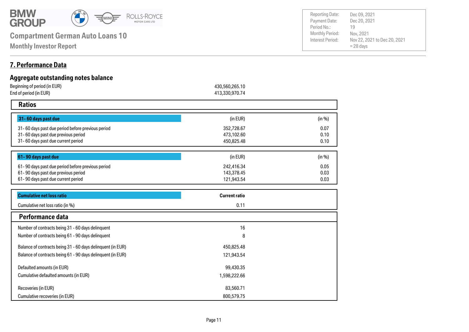

**Monthly Investor Report**

#### **7. Performance Data**

#### **Aggregate outstanding notes balance** Beginning of period (in EUR) 430,560,265.10 End of period (in EUR) 413,330,970.74  **Ratios 31- 60 days past due** 31- 60 days past due period before previous period 0.07 31- 60 days past due previous period 0.10 31- 60 days past due current period 0.10 **61- 90 days past due** 61- 90 days past due period before previous period 0.05 0.03 61- 90 days past due current period 0.03 61- 90 days past due previous period 450,825.48 121,943.54 242,416.34 143,378.45 352,728.67 473,102.60  $(in EUR)$  (in %)  $(in EUR)$  (in %) **Cumulative net loss ratio Current ratio**

| Cumulative net loss ratio (in %)                            | 0.11         |  |
|-------------------------------------------------------------|--------------|--|
| Performance data                                            |              |  |
| Number of contracts being 31 - 60 days delinquent           | 16           |  |
| Number of contracts being 61 - 90 days delinquent           | 8            |  |
| Balance of contracts being 31 - 60 days delinquent (in EUR) | 450,825.48   |  |
| Balance of contracts being 61 - 90 days delinquent (in EUR) | 121,943.54   |  |
| Defaulted amounts (in EUR)                                  | 99,430.35    |  |
| Cumulative defaulted amounts (in EUR)                       | 1,598,222.66 |  |
| Recoveries (in EUR)                                         | 83,560.71    |  |
| Cumulative recoveries (in EUR)                              | 800,579.75   |  |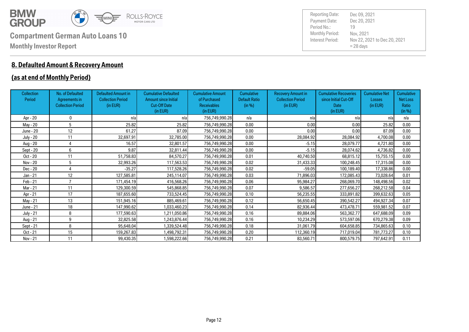

#### **8. Defaulted Amount & Recovery Amount**

#### **(as at end of Monthly Period)**

| <b>Collection</b><br>Period | No. of Defaulted<br>Agreements in<br><b>Collection Period</b> | <b>Defaulted Amount in</b><br><b>Collection Period</b><br>(in EUR) | <b>Cumulative Defaulted</b><br><b>Amount since Initial</b><br><b>Cut-Off Date</b><br>(in EUR) | <b>Cumulative Amount</b><br>of Purchased<br><b>Receivables</b><br>(in EUR) | Cumulative<br><b>Default Ratio</b><br>(in %) | <b>Recovery Amount in</b><br><b>Collection Period</b><br>(in EUR) | <b>Cumulative Recoveries</b><br>since Initial Cut-Off<br>Date<br>(in EUR) | <b>Cumulative Net</b><br><b>Losses</b><br>(in EUR) | <b>Cumulative</b><br>Net Loss<br>Ratio<br>(in %) |
|-----------------------------|---------------------------------------------------------------|--------------------------------------------------------------------|-----------------------------------------------------------------------------------------------|----------------------------------------------------------------------------|----------------------------------------------|-------------------------------------------------------------------|---------------------------------------------------------------------------|----------------------------------------------------|--------------------------------------------------|
| Apr - 20                    | $\Omega$                                                      | n/a                                                                | n/a                                                                                           | 756,749,990.28                                                             | n/a                                          | n/a                                                               | n/a                                                                       | n/a                                                | n/a                                              |
| May - 20                    | 5                                                             | 25.82                                                              | 25.82                                                                                         | 756,749,990.28                                                             | 0.00                                         | 0.00                                                              | 0.00                                                                      | 25.82                                              | 0.00                                             |
| June - 20                   | 12                                                            | 61.27                                                              | 87.09                                                                                         | 756,749,990.28                                                             | 0.00                                         | 0.00                                                              | 0.00                                                                      | 87.09                                              | 0.00                                             |
| <b>July - 20</b>            | 11                                                            | 32,697.91                                                          | 32,785.00                                                                                     | 756,749,990.28                                                             | 0.00                                         | 28,084.92                                                         | 28,084.92                                                                 | 4,700.08                                           | 0.00                                             |
| Aug - 20                    | 4                                                             | 16.57                                                              | 32,801.57                                                                                     | 756,749,990.28                                                             | 0.00                                         | $-5.15$                                                           | 28,079.77                                                                 | 4,721.80                                           | 0.00                                             |
| Sept - 20                   | 6                                                             | 9.87                                                               | 32,811.44                                                                                     | 756,749,990.28                                                             | 0.00                                         | $-5.15$                                                           | 28,074.62                                                                 | 4,736.82                                           | 0.00                                             |
| Oct - 20                    | 11                                                            | 51,758.83                                                          | 84,570.27                                                                                     | 756,749,990.28                                                             | 0.01                                         | 40,740.50                                                         | 68,815.12                                                                 | 15,755.15                                          | 0.00                                             |
| Nov - 20                    | 5                                                             | 32,993.26                                                          | 117,563.53                                                                                    | 756,749,990.28                                                             | 0.02                                         | 31,433.33                                                         | 100,248.45                                                                | 17,315.08                                          | 0.00                                             |
| Dec - 20                    | Δ                                                             | $-35.27$                                                           | 117,528.26                                                                                    | 756,749,990.28                                                             | 0.02                                         | $-59.05$                                                          | 100,189.40                                                                | 17,338.86                                          | 0.00                                             |
| Jan - 21                    | 12                                                            | 127,585.81                                                         | 245,114.07                                                                                    | 756,749,990.28                                                             | 0.03                                         | 71.896.03                                                         | 172,085.43                                                                | 73,028.64                                          | 0.01                                             |
| Feb - 21                    |                                                               | 171,454.19                                                         | 416,568.26                                                                                    | 756,749,990.28                                                             | 0.06                                         | 95,984.27                                                         | 268,069.70                                                                | 148,498.56                                         | 0.02                                             |
| Mar - 21                    | 11                                                            | 129,300.59                                                         | 545,868.85                                                                                    | 756,749,990.28                                                             | 0.07                                         | 9,586.57                                                          | 277,656.27                                                                | 268,212.58                                         | 0.04                                             |
| Apr - 21                    | 17                                                            | 187,655.60                                                         | 733,524.45                                                                                    | 756,749,990.28                                                             | 0.10                                         | 56,235.55                                                         | 333,891.82                                                                | 399,632.63                                         | 0.05                                             |
| May - 21                    | 13                                                            | 151,945.16                                                         | 885,469.61                                                                                    | 756,749,990.28                                                             | 0.12                                         | 56,650.45                                                         | 390,542.27                                                                | 494,927.34                                         | 0.07                                             |
| June - 21                   | 18                                                            | 147,990.62                                                         | 1,033,460.23                                                                                  | 756,749,990.28                                                             | 0.14                                         | 82,936.44                                                         | 473,478.71                                                                | 559,981.52                                         | 0.07                                             |
| <b>July - 21</b>            | 8                                                             | 177,590.63                                                         | 1,211,050.86                                                                                  | 756,749,990.28                                                             | 0.16                                         | 89,884.06                                                         | 563,362.77                                                                | 647,688.09                                         | 0.09                                             |
| Aug - 21                    | 9                                                             | 32,825.58                                                          | 1,243,876.44                                                                                  | 756,749,990.28                                                             | 0.16                                         | 10,234.29                                                         | 573,597.06                                                                | 670,279.38                                         | 0.09                                             |
| Sept - 21                   | 8                                                             | 95,648.04                                                          | 1,339,524.48                                                                                  | 756,749,990.28                                                             | 0.18                                         | 31,061.79                                                         | 604,658.85                                                                | 734,865.63                                         | 0.10                                             |
| Oct - 21                    | 15                                                            | 159,267.83                                                         | ,498,792.31                                                                                   | 756,749,990.28                                                             | 0.20                                         | 112,360.19                                                        | 717,019.04                                                                | 781,773.27                                         | 0.10                                             |
| Nov - 21                    | 11                                                            | 99,430.35                                                          | 1,598,222.66                                                                                  | 756,749,990.28                                                             | 0.21                                         | 83,560.71                                                         | 800,579.75                                                                | 797,642.91                                         | 0.11                                             |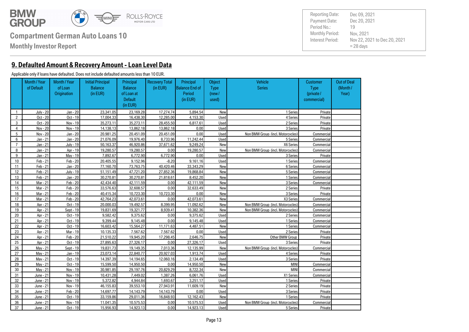

**Monthly Investor Report**

### **9. Defaulted Amount & Recovery Amount - Loan Level Data**

#### Applicable only if loans have defaulted. Does not include defaulted amounts less than 10 EUR.

Out of Deal (Month / Year) **Customer**  Type (private / commercial) **Object** Type (new / used) Principal Balance End of Period (in EUR) Recovery Total (in EUR) Vehicle **Series** Principal Balance of Loan at **Default** (in EUR) Initial Principal Balance (in EUR) Month / Year of Loan **Origination** Month / Year of Default 1 July - 20 Jan - 20 23.341.05 23.169.28 17.274.74 5.894.54 New New 1 Series Private 2 | Oct - 20 | Oct - 19 | 17.004.33 | 16.438.30 | 12.285.00 | 4.153.30 | Used | 4 Series | Private 3 | Oct - 20 | Nov - 19 | 35.273.11 35.273.11 28.455.50 6.817.61 Used Used 2 Series Private 4 | Nov - 20 | Nov - 19 | 14.138.13 | 13.862.18 | 13.862.18 | 0.00 | Used | Series | 3 Series | Private 5 Nov - 20 Jan - 20 20,981.25 20,451.09 20,451.09 0.00 Used Non BMW Group (incl. Motorcycles) Commercial 6 Jan - 21 Jan - 20 21,076.09 19,976.40 8,733.96 11,242.44 Used 5 Series Commercial 7 | Jan - 21 July - 19 50.163.37 46.920.86 37.671.62 9.249.24 New New X6 Series Commercial 8 Jan - 21 Apr - 19 19,280.57 19,280.57 0.00 19,280.57 New Non BMW Group (incl. Motorcycles) Commercial 9 Jan - 21 May - 19 7,892.67 6,772.90 6,772.90 0.00 Used 3 Series Private 10 | Feb-21 | Feb-20 | 20,405.55 9.152.96 | -8.20 9.161.16 Used Used 1 Series 1 Series Commercial 11 | Feb 21 | Jan 20 | 77.160.70 | 73.763.75 | 40.420.46 | 33.343.29 | New New | 6Series | Commercial 12 | Feb 21 July 19 51,151.49 47.721.20 27.852.36 19.868.84 New New Series Series Commercial 13 | Feb 21 | Jan 20 | 30,270,81 30,270,81 21,818.61 8,452.20 New New 1 Series Commercial 14 | Mar - 21 | Feb - 20 | 42,434,40 | 42,111,59 | 0.00 | 42,111,59 | New | 3Series | Commercial 15 | Mar - 21 | Feb - 20 | 33.576.63 | 32.608.57 | 0.00 | 32.633.49 | New | 2 Series | Private 16 | Mar - 21 | Feb - 20 | 40.415.34 | 10.723.30 | 10.723.30 | 0.00 | New | Series | 3 Series Private 17 | Mar 21 | Feb 20 | 42.764.23 | 42.073.61 | 0.00 | 42.073.61 | New New X3 Series Commercial 18 Apr - 21 Oct - 19 20,000.03 19,492.57 8,399.95 11,092.62 New Non BMW Group (incl. Motorcycles) Commercial 19 Apr - 21 Sept - 19 19,831.69 19,321.77 8,939.41 10,382.36 New Non BMW Group (incl. Motorcycles) Commercial 20 Apr - 21 Oct - 19 9,582.42 9,375.62 0.00 9,375.62 Used 2 Series Commercial 21 Apr - 21 Oct - 19 9,399.44 9,145.48 0.00 9,145.48 Used 1 Series Commercial 22 | Apr - 21 Oct - 19 16.603.42 15.564.27 11.171.63 4.487.51 New New 1 Series Commercial 23 | Apr - 21 Mar - 19 10.135.33 | 7.567.62 | 7.567.62 0.00 Used 2 Series | 2 Series Private 24 | Apr - 21 | Feb - 20 | 21.510.22 | 19.945.20 17.298.45 | 2.646.75 New New Other BMW Group Private 25 | Apr - 21 | Oct - 19 | 27.895.63 | 27.326.17 | 0.00 | 27.326.17 | Used | 3Series | Steries Private 26 May - 21 Sept - 19 19,831.73 19,149.35 7,013.36 12,135.99 New Non BMW Group (incl. Motorcycles) Commercial 27 | Mav 21 | Jan 19 | 23.073.14 | 22.840.77 | 20.927.03 | 1.913.74 | Used | Aseries | 4 Series | Private 28 | Mav 21 | Oct - 19 | 14.397.39 | 14.194.65 | 12.060.16 | 2.134.49 | Used | Series | 3 Series Private 29 May - 21 Oct - 19 15,599.50 14,950.50 0.00 14,950.50 New MINI Commercial 30 May - 21 Nov - 19 30,981.85 29,197.76 20,829.29 8,722.34 New MINI Commercial 31 June - 21 Nov - 19 10.431.28 7.449.02 1.387.26 6.061.76 Used Vertal X1 Series Commercial 32 June - 21 Nov - 19 5.372.82 4.944.84 1.693.67 3.251.17 Used June - 1 Series Private 33 June - 21 Nov - 19 46.155.83 39.553.10 27.943.91 11.609.19 New New 2 Series 2 Series Private 34 June - 21 Feb - 20 14.697.77 14.143.79 14.143.79 0.00 Used 3Series 3Series Private 35 June - 21 Oct - 19 33.159.86 29.011.36 16.848.93 12.162.43 New New 1 Series Private 36 June - 21 Nov - 19 11,041.35 10,575.53 0.00 10,575.53 Used Non BMW Group (incl. Motorcycles) Commercial 37 June - 21 Oct - 19 15.956.93 14.923.13 0.00 14.923.13 Used Series 5 Series Private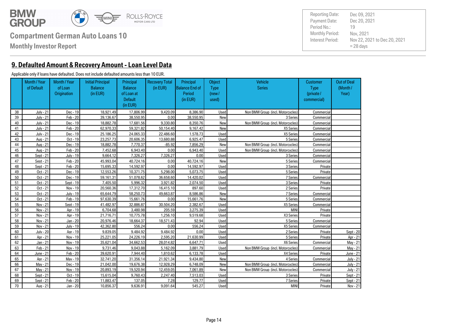

**Monthly Investor Report**

**9. Defaulted Amount & Recovery Amount - Loan Level Data**

#### Applicable only if loans have defaulted. Does not include defaulted amounts less than 10 EUR.

Out of Deal (Month / Year) **Customer**  Type (private / commercial) **Object** Type (new / used) Principal Balance End of Period (in EUR) Recovery Total (in EUR) Vehicle **Series** Principal Balance of Loan at **Default** (in EUR) Initial Principal Balance (in EUR) Month / Year of Loan **Origination** Month / Year of Default 38 July - 21 Dec - 19 18,921.49 17,806.99 9,420.09 8,386.90 Used Non BMW Group (incl. Motorcycles) Commercial 39 July - 21 Feb - 20 39,136.67 38,550.95 0.00 38,550.95 New New 3 Series Commercial 40 July - 21 Dec - 19 18,882.78 17,681.56 9,330.80 8,350.76 New Non BMW Group (incl. Motorcycles) Commercial 41 July - 21 Feb - 20 62,970.33 59,321.82 50,154.40 9,167.42 New X5 Series Commercial 42 July - 21 Dec - 19 25,186.25 24,065.33 22,486.60 1,578.73 Used Vertal X5 Series Commercial 43 | Aug 21 Oct - 19 | 23,257.73 | 20,606,35 | 13,680,88 | 6,925.47 | Used | Series | Series | Commercial 44 Aug - 21 Dec - 19 18,882.78 7,770.37 -85.92 7,856.29 New Non BMW Group (incl. Motorcycles) Commercial 45 Aug - 21 Feb - 20 7,452.68 6,943.40 0.00 6,943.40 Used Non BMW Group (incl. Motorcycles) Commercial 46 | Sept - 21 July - 19 | 9,664.12 | 7,326.27 | 7,326.27 | 0.00 | Used | 3 Series | Commercial 47 | Sept - 21 | Feb - 20 | 45,993.04 | 40.724.16 | 0.00 | 40.724.16 | New New | 5Series | Commercial 48 | Sept - 21 | Feb - 20 | 15,695.33 | 14,592.97 | 0.00 | 14,592.97 | Used | Septes | 3 Series | Private 49 | Oct - 21 Dec - 19 | 12,553.26 | 10.371.75 | 5.298.00 | 5.073.75 | Used | Series | SSeries Private 50 Oct - 21 Dec - 19 59,161.31 51.078.62 36.658.60 14.420.02 Used Used 7 Series 7 Series Commercial 51 | Oct - 21 | Sept - 19 | 7,405.50 | 5.996.32 | 3.921.82 | 2.074.50 | Used | Series | 3 Series | Private 52 Oct - 21 Nov - 19 20,560.36 17,312.70 16,415.10 897.60 Used Used 2 Series 2 Series Private 53 Oct - 21 July - 19 65.644.79 58.250.73 49.663.87 8.586.86 New New 7 Series Commercial 54 Oct - 21 Feb - 19 97.630.39 15.661.76 0.00 15.661.76 New New SSeries Commercial 55 | Nov 21 Sept - 19 41.482.97 32.886.87 30.504.20 2.382.67 Used Xent X5 Series Commercial 56 Nov - 21 Apr - 19 6,704.68 3,480.98 205.59 3,275.39 Used MINI Private 57 | Nov 21 | Apr 19 | 21,716.71 | 10.775.78 | 1.256.10 | 9.519.68 | Used | Nov 21 | X3 Series | Private 58 Nov 21 Jan 20 20.976.46 18.664.37 18.571.43 92.94 Used Series Series Commercial 59 Nov - 21 July - 19 42,362.80 556.24 0.00 556.24 Used X5 Series Commercial 60 July - 20 Apr - 19 9,839.05 9,484.92 9,484.92 0.00 Used 2 Series Private Sept - 20 61 | Apr - 21 | Nov - 19 | 25.221.05 | 24.226.19 | 2.595.20 | 21.630.99 | Used | Series | 5 Series | Private Apr - 21 62 | Jan - 21 Nov - 19 35.621.04 34.662.53 28.014.82 6.647.71 Used X6 Series X6 Series Commercial May - 21 63 Feb - 21 Nov - 19 9,731.46 9,043.88 5,162.09 3,881.79 Used Non BMW Group (incl. Motorcycles) Commercial May - 21 64 June - 21 Feb - 20 39.620.91 7.944.40 1.810.62 6.133.78 Used X4 Series X4 Series Private June - 21 65 | Apr - 21 May - 19 32.741.20 31.356.14 21.921.34 9.434.80 New New 4 Series Commercial July - 21 66 May - 21 Dec - 19 21,042.00 19,676.38 12,928.29 6,748.09 New Non BMW Group (incl. Motorcycles) Commercial July - 21 67 May - 21 Nov - 19 20,893.19 19,520.94 12,459.05 7,061.89 New Non BMW Group (incl. Motorcycles) Commercial July - 21 68 | Sept - 21 Oct - 19 | 15.615.04 | 9.760.43 | 2.247.40 | 7.513.03 | Used | Sept - 21 | 3 Series | Private Sept - 21 69 | Sept - 21 | Feb - 20 | 11.883.47 | 137.05 | 7.28 | 129.77 | Used | 7.5eries | 7 Series Private Sept - 21 70 | Aug 21 | Jan 20 | 10.856.37 | 9.636.91 | 9.091.64 | 545.27 | Used MINI Private Nov 21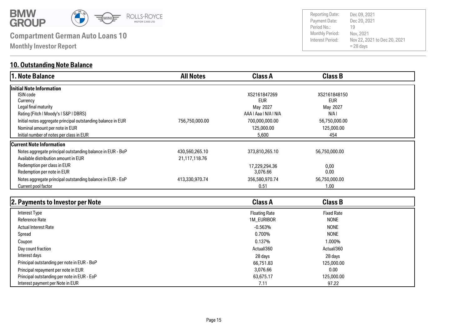

**Monthly Investor Report**

#### **10. Outstanding Note Balance**

| 1. Note Balance                                              | <b>All Notes</b> | <b>Class A</b>        | <b>Class B</b> |  |
|--------------------------------------------------------------|------------------|-----------------------|----------------|--|
| Initial Note Information                                     |                  |                       |                |  |
| <b>ISIN</b> code                                             |                  | XS2161847269          | XS2161848150   |  |
| Currency                                                     |                  | <b>EUR</b>            | <b>EUR</b>     |  |
| Legal final maturity                                         |                  | May 2027              | May 2027       |  |
| Rating (Fitch   Moody's   S&P   DBRS)                        |                  | AAA   Aaa   N/A   N/A | N/A I          |  |
| Initial notes aggregate principal outstanding balance in EUR | 756,750,000.00   | 700,000,000.00        | 56,750,000.00  |  |
| Nominal amount per note in EUR                               |                  | 125,000.00            | 125,000.00     |  |
| Initial number of notes per class in EUR                     |                  | 5,600                 | 454            |  |
| <b>Current Note Information</b>                              |                  |                       |                |  |
| Notes aggregate principal outstanding balance in EUR - BoP   | 430,560,265.10   | 373,810,265.10        | 56,750,000.00  |  |
| Available distribution amount in EUR                         | 21,117,118.76    |                       |                |  |
| Redemption per class in EUR                                  |                  | 17,229,294.36         | 0,00           |  |
| Redemption per note in EUR                                   |                  | 3,076.66              | 0.00           |  |
| Notes aggregate principal outstanding balance in EUR - EoP   | 413,330,970.74   | 356,580,970.74        | 56,750,000.00  |  |
| Current pool factor                                          |                  | 0.51                  | 1.00           |  |

| 2. Payments to Investor per Note            | <b>Class A</b>       | <b>Class B</b>    |  |
|---------------------------------------------|----------------------|-------------------|--|
| Interest Type                               | <b>Floating Rate</b> | <b>Fixed Rate</b> |  |
| <b>Reference Rate</b>                       | 1M_EURIBOR           | <b>NONE</b>       |  |
| <b>Actual Interest Rate</b>                 | $-0.563\%$           | <b>NONE</b>       |  |
| Spread                                      | 0.700%               | <b>NONE</b>       |  |
| Coupon                                      | 0.137%               | 1.000%            |  |
| Day count fraction                          | Actual/360           | Actual/360        |  |
| Interest days                               | 28 days              | 28 days           |  |
| Principal outstanding per note in EUR - BoP | 66,751.83            | 125,000,00        |  |
| Principal repayment per note in EUR         | 3.076.66             | 0.00              |  |
| Principal outstanding per note in EUR - EoP | 63,675.17            | 125,000.00        |  |
| Interest payment per Note in EUR            | 7.11                 | 97.22             |  |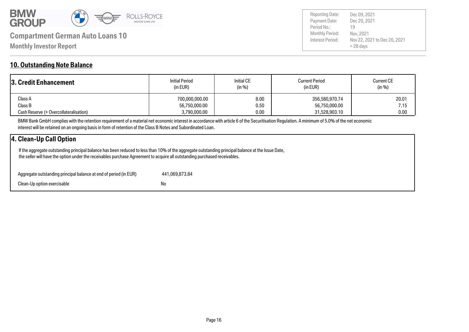

Payment Date: Period No.: Nov 22, 2021 to Dec 20, 2021 = 28 days Dec 20, 2021 Nov, 2021 19 Reporting Date: Dec 09, 2021

#### **10. Outstanding Note Balance**

| <b>3. Credit Enhancement</b>           | <b>Initial Period</b><br>(in EUR) | <b>Initial CE</b><br>(in %) | <b>Current Period</b><br>(in EUR) | <b>Current CE</b><br>(in %) |
|----------------------------------------|-----------------------------------|-----------------------------|-----------------------------------|-----------------------------|
| Class A                                | 700,000,000.00                    | 8.00                        | 356,580,970.74                    | 20.01                       |
| Class B                                | 56,750,000.00                     | 0.50                        | 56,750,000.00                     | 7.15                        |
| Cash Reserve (+ Overcollateralisation) | 3,790,000.00                      | 0.00                        | 31,528,903.10                     | 0.00                        |

BMW Bank GmbH complies with the retention requirement of a material net economic interest in accordance with article 6 of the Securitisation Regulation. A minimum of 5.0% of the net economic interest will be retained on an ongoing basis in form of retention of the Class B Notes and Subordinated Loan.

#### **4. Clean-Up Call Option**

 If the aggregate outstanding principal balance has been reduced to less than 10% of the aggregate outstanding principal balance at the Issue Date, the seller will have the option under the receivables purchase Agreement to acquire all outstanding purchased receivables.

| Aggregate outstanding principal balance at end of period (in EUR) | 441.069.873.84 |
|-------------------------------------------------------------------|----------------|
| Clean-Up option exercisable                                       | No             |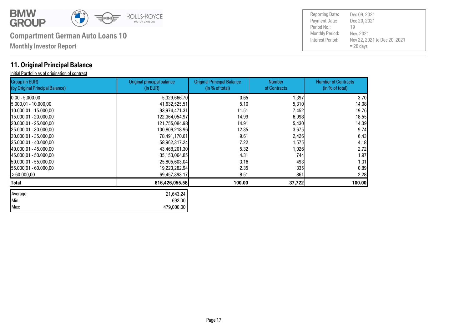

| Max: 479,000.00

# **Compartment German Auto Loans 10** Monthly Period:

**Monthly Investor Report**

### **11. Original Principal Balance**

Initial Portfolio as of origination of contract

| Group (in EUR)<br>(by Original Principal Balance) | <b>Original principal balance</b><br>(in EUR) | <b>Original Principal Balance</b><br>(in % of total) | <b>Number</b><br>of Contracts | <b>Number of Contracts</b><br>(in % of total) |
|---------------------------------------------------|-----------------------------------------------|------------------------------------------------------|-------------------------------|-----------------------------------------------|
| 10.00 - 5,000.00                                  | 5,329,666.70                                  | 0.65                                                 | 1,397                         | 3.70                                          |
| 15.000,01 - 10.000,00                             | 41,632,525.51                                 | 5.10                                                 | 5,310                         | 14.08                                         |
| 10.000,01 - 15.000,00                             | 93,974,471.31                                 | 11.51                                                | 7,452                         | 19.76                                         |
| 15.000,01 - 20.000,00                             | 122,364,054.97                                | 14.99                                                | 6,998                         | 18.55                                         |
| 20.000,01 - 25.000,00                             | 121,755,084.98                                | 14.91                                                | 5,430                         | 14.39                                         |
| 25.000,01 - 30.000,00                             | 100,809,218.96                                | 12.35                                                | 3,675                         | 9.74                                          |
| 30.000,01 - 35.000,00                             | 78,491,170.61                                 | 9.61                                                 | 2,426                         | 6.43                                          |
| 35.000,01 - 40.000,00                             | 58,962,317.24                                 | 7.22                                                 | 1,575                         | 4.18                                          |
| 40.000,01 - 45.000,00                             | 43,468,201.30                                 | 5.32                                                 | 1,026                         | 2.72                                          |
| 145.000,01 - 50.000,00                            | 35,153,064.85                                 | 4.31                                                 | 744                           | 1.97                                          |
| 150.000,01 - 55.000,00                            | 25,805,603.04                                 | 3.16                                                 | 493                           | 1.31                                          |
| 155.000,01 - 60.000,00                            | 19,223,282.94                                 | 2.35                                                 | 335                           | 0.89                                          |
| >60.000,00                                        | 69,457,393.17                                 | 8.51                                                 | 861                           | 2.28                                          |
| Total                                             | 816,426,055.58                                | 100.00                                               | 37,722                        | 100.00                                        |
| Average:                                          | 21,643.24                                     |                                                      |                               |                                               |
| Min:                                              | 692.00                                        |                                                      |                               |                                               |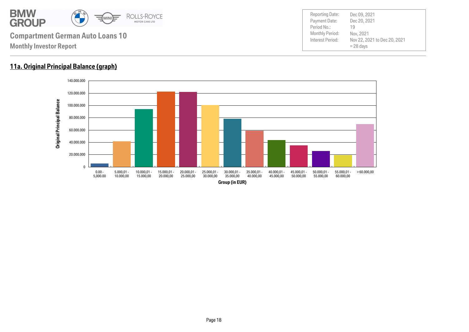

#### **11a. Original Principal Balance (graph)**

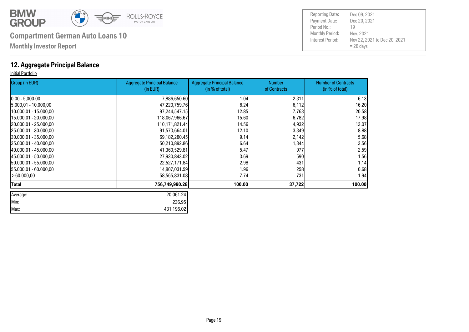

**Monthly Investor Report**

#### **12. Aggregate Principal Balance**

#### Initial Portfolio

| Group (in EUR)         | <b>Aggregate Principal Balance</b><br>(in EUR) | <b>Aggregate Principal Balance</b><br>(in % of total) | <b>Number</b><br>of Contracts | <b>Number of Contracts</b><br>(in % of total) |
|------------------------|------------------------------------------------|-------------------------------------------------------|-------------------------------|-----------------------------------------------|
| $[0.00 - 5,000.00]$    | 7,886,650.60                                   | 1.04                                                  | 2,311                         | 6.13                                          |
| 5.000,01 - 10.000,00   | 47,220,759.76                                  | 6.24                                                  | 6,112                         | 16.20                                         |
| 10.000,01 - 15.000,00  | 97,244,547.15                                  | 12.85                                                 | 7,763                         | 20.58                                         |
| 15.000,01 - 20.000,00  | 118,067,966.67                                 | 15.60                                                 | 6,782                         | 17.98                                         |
| 20.000,01 - 25.000,00  | 110,171,821.44                                 | 14.56                                                 | 4,932                         | 13.07                                         |
| 25.000,01 - 30.000,00  | 91,573,664.01                                  | 12.10                                                 | 3,349                         | 8.88                                          |
| 30.000,01 - 35.000,00  | 69,182,280.45                                  | 9.14                                                  | 2,142                         | 5.68                                          |
| 35.000,01 - 40.000,00  | 50,210,892.86                                  | 6.64                                                  | 1,344                         | 3.56                                          |
| 40.000,01 - 45.000,00  | 41,360,529.81                                  | 5.47                                                  | 977                           | 2.59                                          |
| 145.000.01 - 50.000.00 | 27,930,843.02                                  | 3.69                                                  | 590                           | 1.56                                          |
| 150.000,01 - 55.000,00 | 22,527,171.84                                  | 2.98                                                  | 431                           | 1.14                                          |
| 155.000,01 - 60.000,00 | 14,807,031.59                                  | 1.96                                                  | 258                           | 0.68                                          |
| > 60.000,00            | 58,565,831.08                                  | 7.74                                                  | 731                           | 1.94                                          |
| Total                  | 756,749,990.28                                 | 100.00                                                | 37,722                        | 100.00                                        |
| Average:               | 20,061.24                                      |                                                       |                               |                                               |
| Min:                   | 236.95                                         |                                                       |                               |                                               |
| Max:                   | 431,196.02                                     |                                                       |                               |                                               |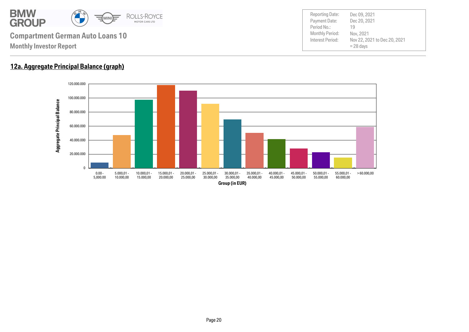

#### **12a. Aggregate Principal Balance (graph)**

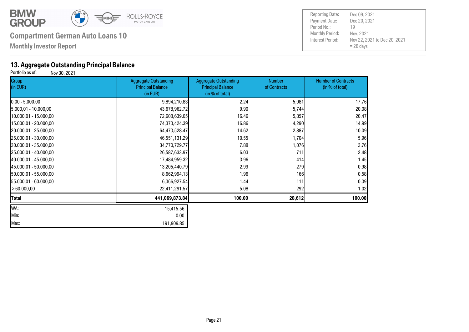

**Monthly Investor Report**

# **13. Aggregate Outstanding Principal Balance**<br>**Portfolio as of:** Nov 30, 2021

Nov 30, 2021

| Group<br>(in EUR)      | <b>Aggregate Outstanding</b><br><b>Principal Balance</b><br>(in EUR) | <b>Aggregate Outstanding</b><br><b>Principal Balance</b><br>(in % of total) | <b>Number</b><br>of Contracts | <b>Number of Contracts</b><br>(in % of total) |
|------------------------|----------------------------------------------------------------------|-----------------------------------------------------------------------------|-------------------------------|-----------------------------------------------|
| $[0.00 - 5,000.00]$    | 9,894,210.83                                                         | 2.24                                                                        | 5,081                         | 17.76                                         |
| 5.000,01 - 10.000,00   | 43,678,962.72                                                        | 9.90                                                                        | 5,744                         | 20.08                                         |
| 10.000,01 - 15.000,00  | 72,608,639.05                                                        | 16.46                                                                       | 5,857                         | 20.47                                         |
| 15.000,01 - 20.000,00  | 74,373,424.39                                                        | 16.86                                                                       | 4,290                         | 14.99                                         |
| 20.000,01 - 25.000,00  | 64,473,528.47                                                        | 14.62                                                                       | 2,887                         | 10.09                                         |
| 25.000,01 - 30.000,00  | 46,551,131.29                                                        | 10.55                                                                       | 1,704                         | 5.96                                          |
| 30.000,01 - 35.000,00  | 34,770,729.77                                                        | 7.88                                                                        | 1,076                         | 3.76                                          |
| 35.000,01 - 40.000,00  | 26,587,633.97                                                        | 6.03                                                                        | 711                           | 2.48                                          |
| 140.000,01 - 45.000,00 | 17,484,959.32                                                        | 3.96                                                                        | 414                           | 1.45                                          |
| 45.000,01 - 50.000,00  | 13,205,440.79                                                        | 2.99                                                                        | 279                           | 0.98                                          |
| 150.000,01 - 55.000,00 | 8,662,994.13                                                         | 1.96                                                                        | 166                           | 0.58                                          |
| [55.000,01 - 60.000,00 | 6,366,927.54                                                         | 1.44                                                                        | 111                           | 0.39                                          |
| >60.000,00             | 22,411,291.57                                                        | 5.08                                                                        | 292                           | 1.02                                          |
| Total                  | 441,069,873.84                                                       | 100.00                                                                      | 28,612                        | 100.00                                        |
| WA:                    | 15,415.56                                                            |                                                                             |                               |                                               |
| Min:                   | 0.00                                                                 |                                                                             |                               |                                               |
| Max:                   | 191,909.85                                                           |                                                                             |                               |                                               |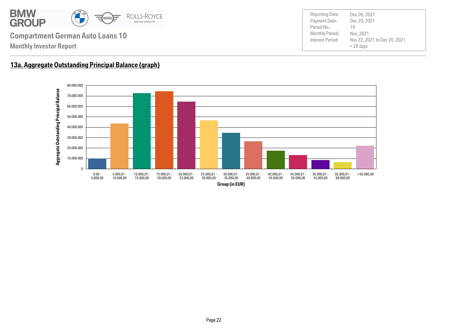

Payment Date: Period No.: Nov 22, 2021 to Dec 20, 2021 = 28 days Dec 20, 2021 Nov, 2021 19 Reporting Date: Dec 09, 2021

#### **13a. Aggregate Outstanding Principal Balance (graph)**

**Monthly Investor Report**

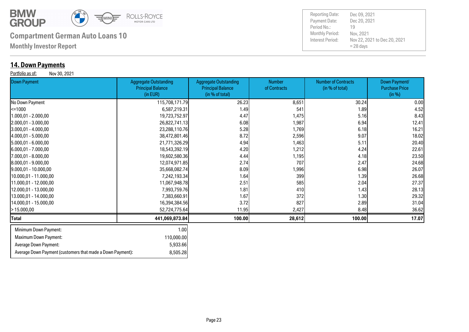

**Monthly Investor Report**

### **14. Down Payments**

Portfolio as of: Nov 30, 2021

Payment Date: Period No.: Nov 22, 2021 to Dec 20, 2021 = 28 days Dec 20, 2021 Nov, 2021 19 Reporting Date: Dec 09, 2021

| .<br><b>Down Payment</b>     | <b>Aggregate Outstanding</b><br><b>Principal Balance</b><br>(in EUR) | <b>Aggregate Outstanding</b><br><b>Principal Balance</b><br>(in % of total) | <b>Number</b><br>of Contracts | <b>Number of Contracts</b><br>(in % of total) | Down Payment/<br><b>Purchase Price</b><br>(in %) |
|------------------------------|----------------------------------------------------------------------|-----------------------------------------------------------------------------|-------------------------------|-----------------------------------------------|--------------------------------------------------|
| No Down Payment              | 115,708,171.79                                                       | 26.23                                                                       | 8,651                         | 30.24                                         | 0.00                                             |
| l<=1000                      | 6,587,219.31                                                         | 1.49                                                                        | 541                           | 1.89                                          | 4.52                                             |
| 1.000,01 - 2.000,00          | 19,723,752.97                                                        | 4.47                                                                        | 1,475                         | 5.16                                          | 8.43                                             |
| 2.000,01 - 3.000,00          | 26,822,741.13                                                        | 6.08                                                                        | 1,987                         | 6.94                                          | 12.41                                            |
| $3.000,01 - 4.000,00$        | 23,288,110.76                                                        | 5.28                                                                        | 1,769                         | 6.18                                          | 16.21                                            |
| 4.000,01 - 5.000,00          | 38,472,801.46                                                        | 8.72                                                                        | 2,596                         | 9.07                                          | 18.02                                            |
| $5.000,01 - 6.000,00$        | 21,771,326.29                                                        | 4.94                                                                        | 1,463                         | 5.11                                          | 20.40                                            |
| $[6.000, 01 - 7.000, 00]$    | 18,543,392.19                                                        | 4.20                                                                        | 1,212                         | 4.24                                          | 22.61                                            |
| 7.000,01 - 8.000,00          | 19,602,580.36                                                        | 4.44                                                                        | 1,195                         | 4.18                                          | 23.50                                            |
| 8.000,01 - 9.000,00          | 12,074,971.85                                                        | 2.74                                                                        | 707                           | 2.47                                          | 24.68                                            |
| $9.000,01 - 10.000,00$       | 35,668,082.74                                                        | 8.09                                                                        | 1,996                         | 6.98                                          | 26.07                                            |
| 10.000,01 - 11.000,00        | 7,242,193.34                                                         | 1.64                                                                        | 399                           | 1.39                                          | 26.68                                            |
| 11.000,01 - 12.000,00        | 11,067,948.78                                                        | 2.51                                                                        | 585                           | 2.04                                          | 27.37                                            |
| 12.000,01 - 13.000,00        | 7,993,759.76                                                         | 1.81                                                                        | 410                           | 1.43                                          | 28.13                                            |
| 13.000,01 - 14.000,00        | 7,383,660.91                                                         | 1.67                                                                        | 372                           | 1.30                                          | 29.32                                            |
| 14.000,01 - 15.000,00        | 16,394,384.56                                                        | 3.72                                                                        | 827                           | 2.89                                          | 31.04                                            |
| >15.000,00                   | 52,724,775.64                                                        | 11.95                                                                       | 2,427                         | 8.48                                          | 36.62                                            |
| Total                        | 441,069,873.84                                                       | 100.00                                                                      | 28,612                        | 100.00                                        | 17.07                                            |
| Minimum Down Payment:        | 1.00                                                                 |                                                                             |                               |                                               |                                                  |
| <b>Maximum Down Payment:</b> | 110,000.00                                                           |                                                                             |                               |                                               |                                                  |
| Average Down Payment:        | 5,933.66                                                             |                                                                             |                               |                                               |                                                  |

Average Down Payment (customers that made a Down Payment): 8,505.28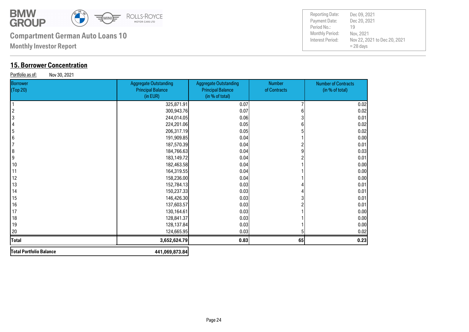

**Monthly Investor Report**

### **15. Borrower Concentration**

Portfolio as of: Nov 30, 2021

| <b>Borrower</b><br>(Top 20) | <b>Aggregate Outstanding</b><br><b>Principal Balance</b><br>(in EUR) | <b>Aggregate Outstanding</b><br><b>Principal Balance</b><br>(in % of total) | <b>Number</b><br>of Contracts | <b>Number of Contracts</b><br>(in % of total) |
|-----------------------------|----------------------------------------------------------------------|-----------------------------------------------------------------------------|-------------------------------|-----------------------------------------------|
|                             | 325,871.91                                                           | 0.07                                                                        |                               | 0.02                                          |
| $\overline{2}$              | 300,943.76                                                           | 0.07                                                                        | 6                             | 0.02                                          |
| 3                           | 244,014.05                                                           | 0.06                                                                        |                               | 0.01                                          |
|                             | 224,201.06                                                           | 0.05                                                                        |                               | 0.02                                          |
| 5                           | 206,317.19                                                           | 0.05                                                                        |                               | 0.02                                          |
| 6                           | 191,909.85                                                           | 0.04                                                                        |                               | 0.00                                          |
|                             | 187,570.39                                                           | 0.04                                                                        |                               | 0.01                                          |
| 8                           | 184,766.63                                                           | 0.04                                                                        |                               | 0.03                                          |
| 9                           | 183,149.72                                                           | 0.04                                                                        |                               | 0.01                                          |
| 10                          | 182,463.58                                                           | 0.04                                                                        |                               | 0.00                                          |
| 11                          | 164,319.55                                                           | 0.04                                                                        |                               | 0.00                                          |
| 12                          | 158,236.00                                                           | 0.04                                                                        |                               | 0.00                                          |
| 13                          | 152,784.13                                                           | 0.03                                                                        |                               | 0.01                                          |
| 14                          | 150,237.33                                                           | 0.03                                                                        |                               | 0.01                                          |
| 15                          | 146,426.30                                                           | 0.03                                                                        |                               | 0.01                                          |
| 16                          | 137,603.57                                                           | 0.03                                                                        |                               | 0.01                                          |
| 17                          | 130,164.61                                                           | 0.03                                                                        |                               | 0.00                                          |
| 18                          | 128,841.37                                                           | 0.03                                                                        |                               | 0.00                                          |
| 19                          | 128,137.84                                                           | 0.03                                                                        |                               | 0.00                                          |
| 20                          | 124,665.95                                                           | 0.03                                                                        |                               | 0.02                                          |
| Total                       | 3,652,624.79                                                         | 0.83                                                                        | 65                            | 0.23                                          |
| Total Portfolio Balance     | 441,069,873.84                                                       |                                                                             |                               |                                               |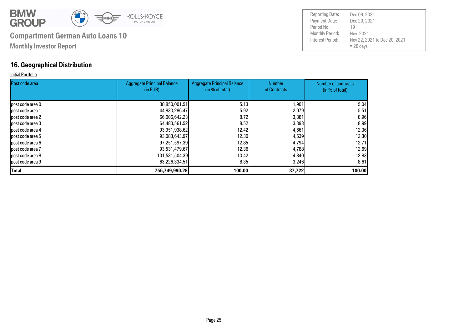

#### **16. Geographical Distribution**

#### Initial Portfolio

| Post code area    | <b>Aggregate Principal Balance</b><br>(in EUR) | <b>Aggregate Principal Balance</b><br>(in % of total) | <b>Number</b><br>of Contracts | Number of contracts<br>(in % of total) |
|-------------------|------------------------------------------------|-------------------------------------------------------|-------------------------------|----------------------------------------|
|                   |                                                |                                                       |                               |                                        |
| lpost code area 0 | 38,850,001.51                                  | 5.13                                                  | 1,901                         | 5.04                                   |
| lpost code area 1 | 44,833,286.47                                  | 5.92                                                  | 2,079                         | 5.51                                   |
| post code area 2  | 66,006,642.23                                  | 8.72                                                  | 3,381                         | 8.96                                   |
| post code area 3  | 64,483,561.52                                  | 8.52                                                  | 3,393                         | 8.99                                   |
| lpost code area 4 | 93,951,938.62                                  | 12.42                                                 | 4,661                         | 12.36                                  |
| lpost code area 5 | 93,083,643.97                                  | 12.30                                                 | 4,639                         | 12.30                                  |
| lpost code area 6 | 97,251,597.39                                  | 12.85                                                 | 4,794                         | 12.71                                  |
| post code area 7  | 93,531,479.67                                  | 12.36                                                 | 4,788                         | 12.69                                  |
| lpost code area 8 | 101,531,504.39                                 | 13.42I                                                | 4,840                         | 12.83                                  |
| post code area 9  | 63,226,334.51                                  | 8.35                                                  | 3,246                         | 8.61                                   |
| <b>Total</b>      | 756,749,990.28                                 | 100.00                                                | 37,722                        | 100.00                                 |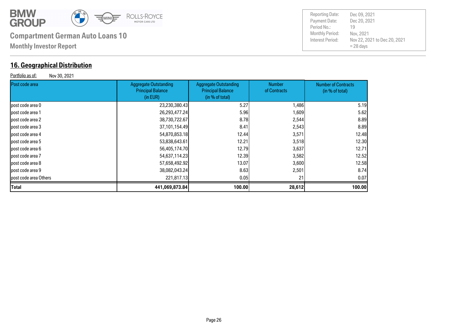

#### **16. Geographical Distribution**

Portfolio as of: Nov 30, 2021

| Post code area        | <b>Aggregate Outstanding</b><br><b>Principal Balance</b><br>(in EUR) | <b>Aggregate Outstanding</b><br><b>Principal Balance</b><br>(in % of total) | <b>Number</b><br>of Contracts | <b>Number of Contracts</b><br>(in % of total) |
|-----------------------|----------------------------------------------------------------------|-----------------------------------------------------------------------------|-------------------------------|-----------------------------------------------|
| post code area 0      | 23,230,380.43                                                        | 5.27                                                                        | 1,486                         | 5.19                                          |
| post code area 1      | 26,293,477.24                                                        | 5.96                                                                        | 1,609                         | 5.62                                          |
| post code area 2      | 38,730,722.67                                                        | 8.78I                                                                       | 2,544                         | 8.89                                          |
| post code area 3      | 37,101,154.49                                                        | 8.41                                                                        | 2,543                         | 8.89                                          |
| post code area 4      | 54,870,853.18                                                        | 12.44                                                                       | 3,571                         | 12.48                                         |
| post code area 5      | 53,838,643.61                                                        | 12.21                                                                       | 3,518                         | 12.30                                         |
| lpost code area 6     | 56,405,174.70                                                        | 12.79                                                                       | 3,637                         | 12.71                                         |
| post code area 7      | 54,637,114.23                                                        | 12.39                                                                       | 3,582                         | 12.52                                         |
| post code area 8      | 57,658,492.92                                                        | 13.07                                                                       | 3,600                         | 12.58                                         |
| post code area 9      | 38,082,043.24                                                        | 8.63                                                                        | 2,501                         | 8.74                                          |
| post code area Others | 221,817.13                                                           | 0.05                                                                        | 21                            | 0.07                                          |
| <b>Total</b>          | 441,069,873.84                                                       | 100.00                                                                      | 28,612                        | 100.00                                        |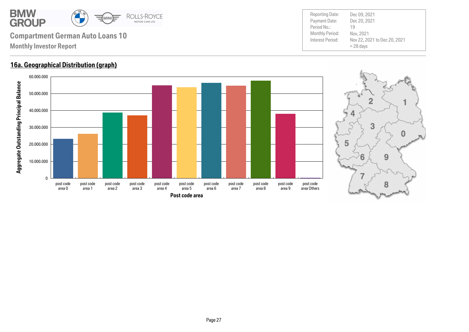

#### **16a. Geographical Distribution (graph)**



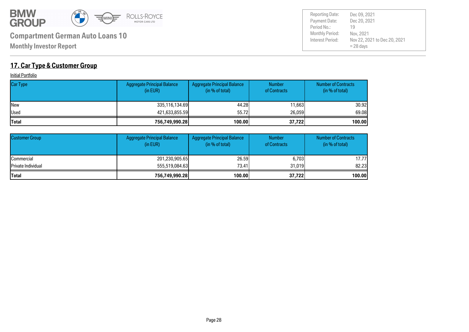

Payment Date: Period No.: Nov 22, 2021 to Dec 20, 2021 = 28 days Dec 20, 2021 Nov, 2021 19 Reporting Date: Dec 09, 2021

### **17. Car Type & Customer Group**

**Initial Portfolio** 

| <b>Car Type</b> | Aggregate Principal Balance<br>(in EUR) | Aggregate Principal Balance<br>(in % of total) | <b>Number</b><br>of Contracts | <b>Number of Contracts</b><br>(in % of total) |
|-----------------|-----------------------------------------|------------------------------------------------|-------------------------------|-----------------------------------------------|
| <b>INew</b>     | 335,116,134.69                          | 44.28                                          | 11,663                        | 30.92l                                        |
| <b>Used</b>     | 421,633,855.59                          | 55.72                                          | 26,059                        | 69.08                                         |
| <b>Total</b>    | 756,749,990.28                          | 100.00                                         | 37,722                        | 100.00                                        |

| <b>Customer Group</b>      | <b>Aggregate Principal Balance</b><br>(in EUR) | Aggregate Principal Balance<br>(in % of total) | <b>Number</b><br>of Contracts | <b>Number of Contracts</b><br>(in % of total) |
|----------------------------|------------------------------------------------|------------------------------------------------|-------------------------------|-----------------------------------------------|
| <b>ICommercial</b>         | 201,230,905.65                                 | 26,59                                          | 6,703                         | 17.77l                                        |
| <b>IPrivate Individual</b> | 555,519,084,63                                 | 73.41                                          | 31.019                        | 82.23                                         |
| <b>Total</b>               | 756,749,990.28                                 | 100.00                                         | 37,722                        | 100.00                                        |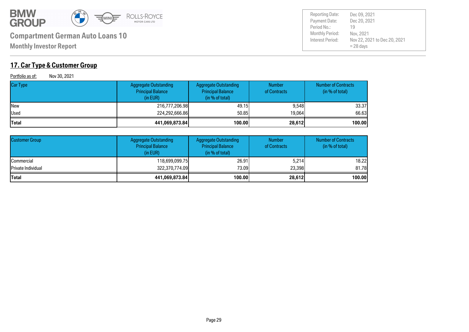

**Monthly Investor Report**

### **17. Car Type & Customer Group**

Portfolio as of: Nov 30, 2021

| Car Type     | <b>Aggregate Outstanding</b><br><b>Principal Balance</b><br>(in EUR) | <b>Aggregate Outstanding</b><br><b>Principal Balance</b><br>(in % of total) | <b>Number</b><br>of Contracts | <b>Number of Contracts</b><br>(in % of total) |
|--------------|----------------------------------------------------------------------|-----------------------------------------------------------------------------|-------------------------------|-----------------------------------------------|
| New          | 216,777,206.98                                                       | 49.15                                                                       | 9,548                         | 33,37                                         |
| Used         | 224,292,666.86                                                       | 50.85                                                                       | 19.064                        | 66.63                                         |
| <b>Total</b> | 441,069,873.84                                                       | 100.00                                                                      | 28,612                        | 100.00                                        |

| <b>Customer Group</b> | <b>Aggregate Outstanding</b><br><b>Principal Balance</b><br>(in EUR) | <b>Aggregate Outstanding</b><br><b>Principal Balance</b><br>(in % of total) | <b>Number</b><br>of Contracts | <b>Number of Contracts</b><br>(in % of total) |
|-----------------------|----------------------------------------------------------------------|-----------------------------------------------------------------------------|-------------------------------|-----------------------------------------------|
| <b>Commercial</b>     | 118,699,099.75                                                       | 26.91                                                                       | 5,214                         | 18.22                                         |
| Private Individual    | 322,370,774.09                                                       | 73.09l                                                                      | 23,398                        | 81.78                                         |
| <b>Total</b>          | 441,069,873.84                                                       | 100.00                                                                      | 28,612                        | 100.00                                        |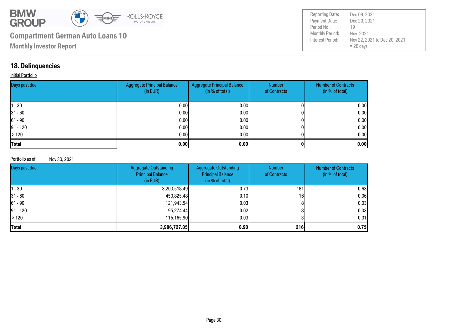

| <b>Reporting Date:</b> | Dec 09, 2021                                |
|------------------------|---------------------------------------------|
| Payment Date:          | Dec 20, 2021                                |
| Period No.:            | 19                                          |
| <b>Monthly Period:</b> | Nov, 2021                                   |
| Interest Period:       | Nov 22, 2021 to Dec 20, 2021<br>$= 28$ days |

### **18. Delinquencies**

#### **Initial Portfolio**

| Days past due | <b>Aggregate Principal Balance</b><br>(in EUR) | Aggregate Principal Balance<br>(in % of total) | Number<br>of Contracts | <b>Number of Contracts</b><br>(in % of total) |
|---------------|------------------------------------------------|------------------------------------------------|------------------------|-----------------------------------------------|
| $ 1 - 30 $    | 0.00                                           | 0.00 <sub>l</sub>                              |                        | 0.00                                          |
| $ 31 - 60 $   | 0.00                                           | 0.00                                           |                        | 0.00                                          |
| $ 61 - 90 $   | 0.00                                           | 0.00                                           |                        | 0.00                                          |
| $ 91 - 120 $  | 0.00                                           | 0.00                                           |                        | 0.00                                          |
| $\vert$ > 120 | 0.00                                           | 0.001                                          |                        | 0.00                                          |
| <b>Total</b>  | 0.00                                           | 0.001                                          |                        | 0.00                                          |

#### Portfolio as of: Nov 30, 2021

| Days past due | <b>Aggregate Outstanding</b><br><b>Principal Balance</b><br>(in EUR) | <b>Aggregate Outstanding</b><br><b>Principal Balance</b><br>(in % of total) | <b>Number</b><br>of Contracts | <b>Number of Contracts</b><br>(in % of total) |
|---------------|----------------------------------------------------------------------|-----------------------------------------------------------------------------|-------------------------------|-----------------------------------------------|
| 11 - 30       | 3,203,518.49                                                         | 0.731                                                                       | 181                           | 0.63                                          |
| $ 31 - 60 $   | 450,825.48                                                           | 0.101                                                                       | 16 <sub>1</sub>               | 0.06                                          |
| $ 61 - 90 $   | 121,943.54                                                           | 0.03 <sub>l</sub>                                                           |                               | 0.03                                          |
| $ 91 - 120 $  | 95,274.44                                                            | 0.02                                                                        |                               | 0.03                                          |
| $\vert$ > 120 | 115,165.90                                                           | 0.03 <sub>l</sub>                                                           |                               | 0.01                                          |
| <b>Total</b>  | 3,986,727.85                                                         | 0.901                                                                       | 216                           | 0.75                                          |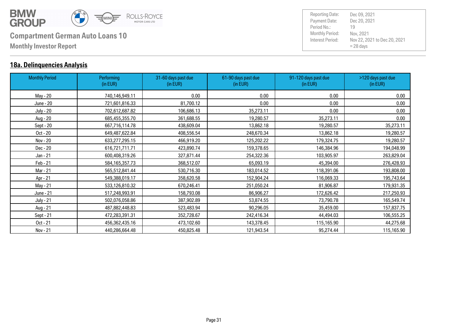

#### **18a. Delinquencies Analysis**

| <b>Monthly Period</b> | Performing<br>(in EUR) | 31-60 days past due<br>(in EUR) | 61-90 days past due<br>(in EUR) | 91-120 days past due<br>(in EUR) | >120 days past due<br>(in EUR) |
|-----------------------|------------------------|---------------------------------|---------------------------------|----------------------------------|--------------------------------|
|                       |                        |                                 |                                 |                                  |                                |
| May - 20              | 740,146,949.11         | 0.00                            | 0.00                            | 0.00                             | 0.00                           |
| June - 20             | 721,601,816.33         | 81,700.12                       | 0.00                            | 0.00                             | 0.00                           |
| <b>July - 20</b>      | 702,612,687.82         | 106,686.13                      | 35,273.11                       | 0.00                             | 0.00                           |
| Aug - 20              | 685,455,355.70         | 361,688.55                      | 19,280.57                       | 35,273.11                        | 0.00                           |
| Sept - 20             | 667,716,114.78         | 438,609.04                      | 13,862.18                       | 19,280.57                        | 35,273.11                      |
| Oct - 20              | 649,487,622.84         | 408,556.54                      | 248,670.34                      | 13,862.18                        | 19,280.57                      |
| Nov - 20              | 633,277,295.15         | 466,919.20                      | 125,202.22                      | 179,324.75                       | 19,280.57                      |
| Dec - 20              | 616,721,711.71         | 423,890.74                      | 159,378.65                      | 146,384.96                       | 194,048.99                     |
| Jan - 21              | 600,408,319.26         | 327,871.44                      | 254,322.36                      | 103,905.97                       | 263,829.04                     |
| Feb - 21              | 584, 165, 357. 73      | 368,512.07                      | 65,093.19                       | 45,394.00                        | 276,428.93                     |
| Mar - 21              | 565,512,841.44         | 530,716.30                      | 183,014.52                      | 118,391.06                       | 193,808.00                     |
| Apr - 21              | 549,388,019.17         | 358,620.58                      | 152,904.24                      | 116,069.33                       | 195,743.64                     |
| May - 21              | 533,126,810.32         | 670,246.41                      | 251,050.24                      | 81,906.87                        | 179,931.35                     |
| June - 21             | 517,248,993.91         | 158,793.08                      | 86,906.27                       | 172,626.42                       | 217,250.93                     |
| <b>July - 21</b>      | 502,076,058.86         | 387,902.89                      | 53,874.55                       | 73,790.78                        | 165,549.74                     |
| Aug - 21              | 487,882,448.83         | 523,483.94                      | 90,296.05                       | 35,459.00                        | 157,837.75                     |
| Sept - 21             | 472,283,391.31         | 352,728.67                      | 242,416.34                      | 44,494.03                        | 106,555.25                     |
| Oct - 21              | 456,362,435.16         | 473,102.60                      | 143,378.45                      | 115,165.90                       | 44,275.68                      |
| Nov - 21              | 440,286,664.48         | 450,825.48                      | 121,943.54                      | 95,274.44                        | 115,165.90                     |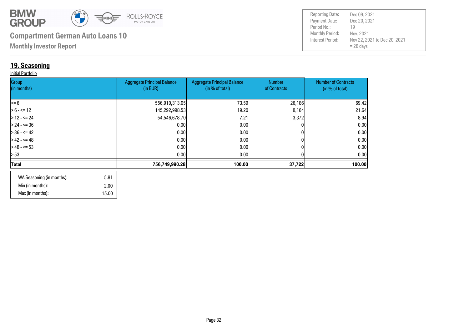

**Monthly Investor Report**

### **19. Seasoning**

#### Initial Portfolio

| Group<br>(in months) | <b>Aggregate Principal Balance</b><br>(in EUR) | <b>Aggregate Principal Balance</b><br>(in % of total) | Number<br>of Contracts | <b>Number of Contracts</b><br>(in % of total) |
|----------------------|------------------------------------------------|-------------------------------------------------------|------------------------|-----------------------------------------------|
|                      |                                                |                                                       |                        |                                               |
| $\leq 6$             | 556,910,313.05                                 | 73.59                                                 | 26,186                 | 69.42                                         |
| $> 6 - \le 12$       | 145,292,998.53                                 | 19.20                                                 | 8,164                  | 21.64                                         |
| > 12 - <= 24         | 54,546,678.70                                  | 7.21                                                  | 3,372                  | 8.94                                          |
| $> 24 - 5 = 36$      | 0.00                                           | 0.00                                                  |                        | 0.00                                          |
| $> 36 - 5 = 42$      | 0.00                                           | 0.001                                                 |                        | 0.00                                          |
| $>42 - 5 = 48$       | 0.00                                           | 0.00                                                  |                        | 0.00                                          |
| $>$ 48 - <= 53       | 0.00                                           | 0.001                                                 |                        | 0.00                                          |
| > 53                 | 0.00                                           | 0.001                                                 |                        | 0.00                                          |
| Total                | 756,749,990.28                                 | 100.00                                                | 37,722                 | 100.00                                        |
|                      |                                                |                                                       |                        |                                               |

| WA Seasoning (in months): | 5.81  |
|---------------------------|-------|
| Min (in months):          | 2.00  |
| Max (in months):          | 15.00 |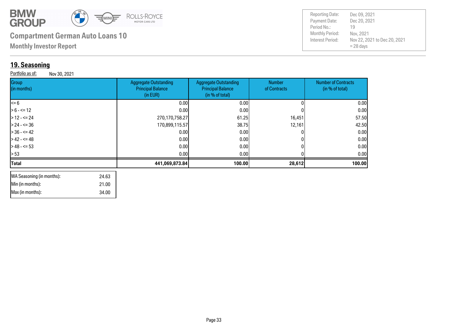

 34.00 21.00

# **Compartment German Auto Loans 10**

**Monthly Investor Report**

### **19. Seasoning**

 Min (in months): Max (in months):

Portfolio as of: Nov 30, 2021

| <b>Reporting Date:</b> | Dec 09, 2021                 |
|------------------------|------------------------------|
| Payment Date:          | Dec 20, 2021                 |
| Period No.:            | 19                           |
| Monthly Period:        | Nov, 2021                    |
| Interest Period:       | Nov 22, 2021 to Dec 20, 2021 |
|                        | $= 28$ days                  |

| Group<br>(in months)               | <b>Aggregate Outstanding</b><br><b>Principal Balance</b><br>(in EUR) | <b>Aggregate Outstanding</b><br><b>Principal Balance</b><br>(in % of total) | <b>Number</b><br>of Contracts | <b>Number of Contracts</b><br>(in % of total) |
|------------------------------------|----------------------------------------------------------------------|-----------------------------------------------------------------------------|-------------------------------|-----------------------------------------------|
| $\leq$ 6                           | 0.00                                                                 | 0.00                                                                        |                               | 0.00                                          |
| $> 6 - \le 12$                     | 0.00                                                                 | 0.00                                                                        |                               | 0.00                                          |
| $>12 - 524$                        | 270,170,758.27                                                       | 61.25                                                                       | 16,451                        | 57.50                                         |
| $> 24 - 5 = 36$                    | 170,899,115.57                                                       | 38.75                                                                       | 12,161                        | 42.50                                         |
| $>36 - 5 = 42$                     | 0.00                                                                 | 0.00                                                                        |                               | 0.00                                          |
| $> 42 - 5 = 48$                    | 0.00                                                                 | 0.00                                                                        |                               | 0.00                                          |
| $>48 - 53$                         | 0.00                                                                 | 0.00                                                                        |                               | 0.00                                          |
| > 53                               | 0.00                                                                 | 0.00                                                                        |                               | 0.00                                          |
| <b>Total</b>                       | 441,069,873.84                                                       | 100.00                                                                      | 28,612                        | 100.00                                        |
| WA Seasoning (in months):<br>24.63 |                                                                      |                                                                             |                               |                                               |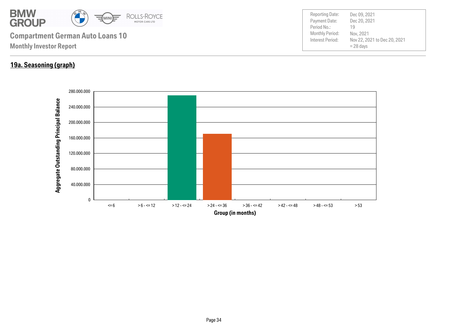

#### **19a. Seasoning (graph)**

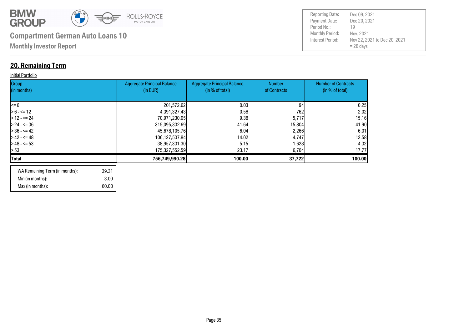

# **20. Remaining Term**

#### **Initial Portfolio**

| Group<br>(in months) | <b>Aggregate Principal Balance</b><br>(in EUR) | <b>Aggregate Principal Balance</b><br>(in % of total) | <b>Number</b><br>of Contracts | <b>Number of Contracts</b><br>(in % of total) |
|----------------------|------------------------------------------------|-------------------------------------------------------|-------------------------------|-----------------------------------------------|
| l<= 6                | 201,572.62                                     | 0.03                                                  | 94                            | 0.25                                          |
| $> 6 - \le 12$       | 4,391,327.43                                   | 0.58                                                  | 762                           | 2.02                                          |
| $>12 - 524$          | 70,971,230.05                                  | 9.38                                                  | 5,717                         | 15.16                                         |
| -24 - <= 36          | 315,095,332.69                                 | 41.64                                                 | 15,804                        | 41.90                                         |
| - 36 - <= 42         | 45,678,105.76                                  | 6.04                                                  | 2,266                         | 6.01                                          |
| $> 42 - 5 = 48$      | 106,127,537.84                                 | 14.02                                                 | 4,747                         | 12.58                                         |
| -8 - - - 53          | 38,957,331.30                                  | 5.15                                                  | 1,628                         | 4.32                                          |
| l> 53                | 175,327,552.59                                 | <b>23.17</b>                                          | 6,704                         | 17.77                                         |
| Total                | 756,749,990.28                                 | 100.00                                                | 37,722                        | 100.00                                        |
|                      |                                                |                                                       |                               |                                               |

| WA Remaining Term (in months): | 39.31 |
|--------------------------------|-------|
| Min (in months):               | 3.00  |
| Max (in months):               | 60.00 |

| <b>Reporting Date:</b> | Dec 09, 2021                 |
|------------------------|------------------------------|
| Payment Date:          | Dec 20, 2021                 |
| Period No.:            | 19                           |
| <b>Monthly Period:</b> | Nov, 2021                    |
| Interest Period:       | Nov 22, 2021 to Dec 20, 2021 |
|                        | $= 28$ days                  |
|                        |                              |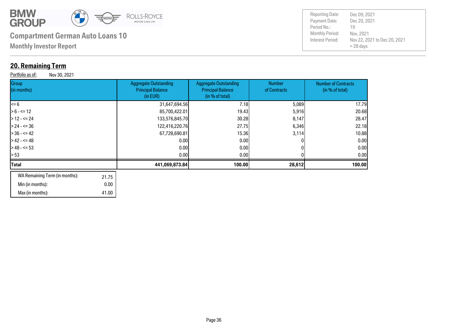

**Monthly Investor Report**

#### **20. Remaining Term**

Portfolio as of: Nov 30, 2021

| Group<br>(in months)           | <b>Aggregate Outstanding</b><br><b>Principal Balance</b><br>(in EUR) | <b>Aggregate Outstanding</b><br><b>Principal Balance</b><br>(in % of total) | <b>Number</b><br>of Contracts | <b>Number of Contracts</b><br>(in % of total) |
|--------------------------------|----------------------------------------------------------------------|-----------------------------------------------------------------------------|-------------------------------|-----------------------------------------------|
| <= 6                           | 31,647,694.56                                                        | 7.18                                                                        | 5,089                         | 17.79                                         |
| $> 6 - \le 12$                 | 85,700,422.01                                                        | 19.43                                                                       | 5,916                         | 20.68                                         |
| $>$ 12 - <= 24                 | 133,576,845.70                                                       | 30.28                                                                       | 8,147                         | 28.47                                         |
| > 24 - <= 36                   | 122,416,220.76                                                       | 27.75                                                                       | 6,346                         | 22.18                                         |
| $>$ 36 - <= 42                 | 67,728,690.81                                                        | 15,36                                                                       | 3,114                         | 10.88                                         |
| > 42 - <= 48                   | 0.00                                                                 | 0.00 <sub>l</sub>                                                           |                               | 0.001                                         |
| $>48 - 53$                     | 0.00                                                                 | 0.00                                                                        |                               | 0.00                                          |
| > 53                           | 0.00                                                                 | 0.00 <sub>l</sub>                                                           |                               | 0.00                                          |
| Total                          | 441,069,873.84                                                       | 100.00                                                                      | 28,612                        | 100.00                                        |
| WA Remaining Term (in months): | 2175                                                                 |                                                                             |                               |                                               |

| WA Remaining Term (in months): | 21.75 |
|--------------------------------|-------|
| Min (in months):               | 0.00  |
| Max (in months):               | 41.00 |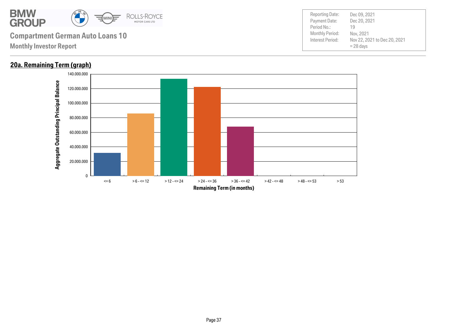

#### **20a. Remaining Term (graph)**

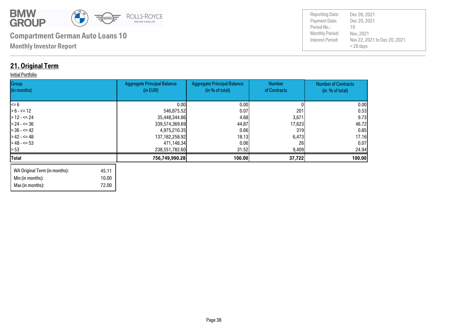

Max (in months): 72.00

| <b>Reporting Date:</b>                     | Dec 09, 2021                                             |
|--------------------------------------------|----------------------------------------------------------|
| Payment Date:                              | Dec 20, 2021                                             |
| Period No.:                                | 19                                                       |
| <b>Monthly Period:</b><br>Interest Period: | Nov, 2021<br>Nov 22, 2021 to Dec 20, 2021<br>$= 28$ days |

### **21. Original Term**

#### **Initial Portfolio**

| Group<br>(in months)          |       | <b>Aggregate Principal Balance</b><br>(in EUR) | <b>Aggregate Principal Balance</b><br>(in % of total) | <b>Number</b><br>of Contracts | <b>Number of Contracts</b><br>(in % of total) |
|-------------------------------|-------|------------------------------------------------|-------------------------------------------------------|-------------------------------|-----------------------------------------------|
|                               |       |                                                |                                                       |                               |                                               |
| l<= 6                         |       | 0.001                                          | 0.00                                                  |                               | 0.00                                          |
| $> 6 - \le 12$                |       | 546,875.52                                     | 0.07                                                  | 201                           | 0.53                                          |
| $>12 - 524$                   |       | 35,448,344.86                                  | 4.68                                                  | 3,671                         | 9.73                                          |
| $> 24 - 5 = 36$               |       | 339,574,369.69                                 | 44.87                                                 | 17,623                        | 46.72                                         |
| - 36 - <= 42                  |       | 4,975,210.35                                   | 0.66                                                  | 319                           | 0.85                                          |
| $> 42 - 5 = 48$               |       | 137, 182, 258. 92                              | 18.13                                                 | 6,473                         | 17.16                                         |
| $> 48 - 53$                   |       | 471,148.34                                     | 0.061                                                 | <b>261</b>                    | 0.07                                          |
| > 53                          |       | 238,551,782.60                                 | 31.52                                                 | 9,409                         | 24.94                                         |
| Total                         |       | 756,749,990.28                                 | 100.00                                                | 37,722                        | 100.00                                        |
| WA Original Term (in months): | 45.11 |                                                |                                                       |                               |                                               |
| Min (in months):              | 10.00 |                                                |                                                       |                               |                                               |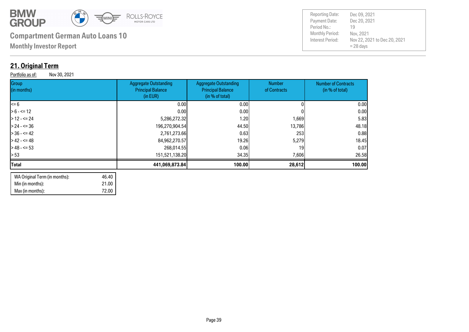

**Monthly Investor Report**

### **21. Original Term**

Portfolio as of: Nov 30, 2021

| <b>Aggregate Outstanding</b><br><b>Principal Balance</b><br>(in EUR) | <b>Aggregate Outstanding</b><br><b>Principal Balance</b><br>(in % of total) | Number<br>of Contracts                                                                                                              | <b>Number of Contracts</b><br>(in % of total) |
|----------------------------------------------------------------------|-----------------------------------------------------------------------------|-------------------------------------------------------------------------------------------------------------------------------------|-----------------------------------------------|
|                                                                      | 0.00                                                                        |                                                                                                                                     | 0.00                                          |
|                                                                      |                                                                             |                                                                                                                                     | 0.00                                          |
|                                                                      | 1.20                                                                        | 1,669                                                                                                                               | 5.83                                          |
|                                                                      |                                                                             | 13,786                                                                                                                              | 48.18                                         |
|                                                                      | 0.63                                                                        | 253                                                                                                                                 | 0.88                                          |
|                                                                      | 19.26                                                                       | 5,279                                                                                                                               | 18.45                                         |
|                                                                      | 0.06                                                                        | 19                                                                                                                                  | 0.07                                          |
|                                                                      |                                                                             | 7,606                                                                                                                               | 26.58                                         |
|                                                                      |                                                                             | 28,612                                                                                                                              | 100.00                                        |
|                                                                      |                                                                             | 0.001<br>0.001<br>5,286,272.32<br>196,270,904.54<br>2,761,273.66<br>84,962,270.57<br>268,014.55<br>151,521,138.20<br>441,069,873.84 | 0.00 <sub>l</sub><br>44.50<br>34.35<br>100.00 |

| WA Original Term (in months): | 46.40 |
|-------------------------------|-------|
| Min (in months):              | 21.00 |
| Max (in months):              | 72.00 |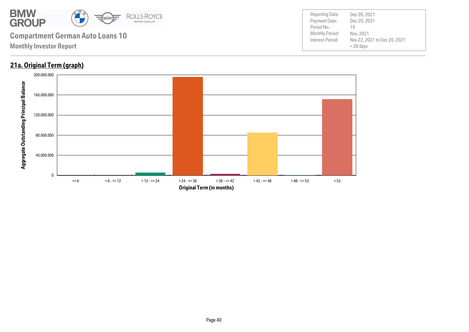

#### **21a. Original Term (graph)**

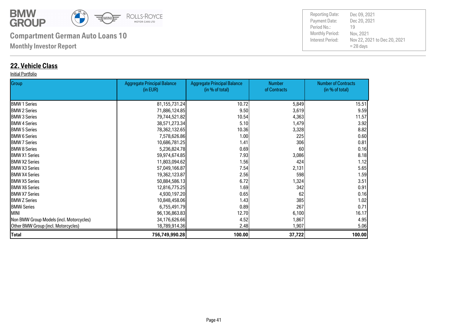

**Monthly Investor Report**

#### **22. Vehicle Class**

#### Initial Portfolio

| Group                                    | <b>Aggregate Principal Balance</b> | <b>Aggregate Principal Balance</b> | <b>Number</b> | <b>Number of Contracts</b> |
|------------------------------------------|------------------------------------|------------------------------------|---------------|----------------------------|
|                                          | (in EUR)                           | (in % of total)                    | of Contracts  | (in % of total)            |
| <b>BMW 1 Series</b>                      | 81, 155, 731. 24                   | 10.72                              | 5,849         | 15.51                      |
| <b>BMW 2 Series</b>                      | 71,886,124.85                      | 9.50                               | 3,619         | 9.59                       |
| <b>I</b> BMW 3 Series                    | 79,744,521.82                      | 10.54                              | 4,363         | 11.57                      |
| <b>BMW 4 Series</b>                      | 38,571,273.34                      | 5.10                               | 1,479         | 3.92                       |
| <b>BMW 5 Series</b>                      | 78,362,132.65                      | 10.36                              | 3,328         | 8.82                       |
| <b>BMW 6 Series</b>                      | 7,578,626.86                       | 1.00                               | 225           | 0.60                       |
| <b>I</b> BMW 7 Series                    | 10,686,781.25                      | 1.41                               | 306           | 0.81                       |
| <b>I</b> BMW 8 Series                    | 5,236,824.78                       | 0.69                               | 60            | 0.16                       |
| <b>IBMW X1 Series</b>                    | 59,974,674.85                      | 7.93                               | 3,086         | 8.18                       |
| <b>IBMW X2 Series</b>                    | 11,803,094.62                      | 1.56                               | 424           | 1.12                       |
| <b>IBMW X3 Series</b>                    | 57,049,166.87                      | 7.54                               | 2,131         | 5.65                       |
| <b>BMW X4 Series</b>                     | 19,362,123.87                      | 2.56                               | 598           | 1.59                       |
| <b>IBMW X5 Series</b>                    | 50,884,586.13                      | 6.72                               | 1,324         | 3.51                       |
| <b>BMW X6 Series</b>                     | 12,816,775.25                      | 1.69                               | 342           | 0.91                       |
| <b>IBMW X7 Series</b>                    | 4,930,197.20                       | 0.65                               | 62            | 0.16                       |
| <b>BMW Z Series</b>                      | 10,848,458.06                      | 1.43                               | 385           | 1.02                       |
| <b>BMWi Series</b>                       | 6,755,491.79                       | 0.89                               | 267           | 0.71                       |
| <b>MINI</b>                              | 96,136,863.83                      | 12.70                              | 6,100         | 16.17                      |
| Non BMW Group Models (incl. Motorcycles) | 34,176,626.66                      | 4.52                               | 1,867         | 4.95                       |
| Other BMW Group (incl. Motorcycles)      | 18,789,914.36                      | 2.48                               | 1,907         | 5.06                       |
| <b>Total</b>                             | 756,749,990.28                     | 100.00                             | 37,722        | 100.00                     |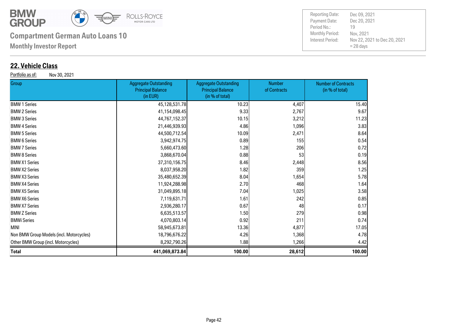

**Monthly Investor Report**

#### **22. Vehicle Class**

Portfolio as of: Nov 30, 2021

| <b>Group</b>                             | <b>Aggregate Outstanding</b><br><b>Principal Balance</b><br>(in EUR) | <b>Aggregate Outstanding</b><br><b>Principal Balance</b><br>(in % of total) | <b>Number</b><br>of Contracts | <b>Number of Contracts</b><br>(in % of total) |
|------------------------------------------|----------------------------------------------------------------------|-----------------------------------------------------------------------------|-------------------------------|-----------------------------------------------|
| <b>BMW 1 Series</b>                      | 45,128,531.78                                                        | 10.23                                                                       | 4,407                         | 15.40                                         |
| <b>BMW 2 Series</b>                      | 41,154,098.45                                                        | 9.33                                                                        | 2,767                         | 9.67                                          |
| <b>BMW 3 Series</b>                      | 44,767,152.37                                                        | 10.15                                                                       | 3,212                         | 11.23                                         |
| <b>BMW 4 Series</b>                      | 21,446,939.93                                                        | 4.86                                                                        | 1,096                         | 3.83                                          |
| <b>BMW 5 Series</b>                      | 44,500,712.54                                                        | 10.09                                                                       | 2,471                         | 8.64                                          |
| <b>BMW 6 Series</b>                      | 3,942,974.75                                                         | 0.89                                                                        | 155                           | 0.54                                          |
| <b>BMW 7 Series</b>                      | 5,660,473.60                                                         | 1.28                                                                        | 206                           | 0.72                                          |
| <b>BMW 8 Series</b>                      | 3,868,670.04                                                         | 0.88                                                                        | 53                            | 0.19                                          |
| <b>BMW X1 Series</b>                     | 37,310,156.75                                                        | 8.46                                                                        | 2,448                         | 8.56                                          |
| <b>BMW X2 Series</b>                     | 8,037,958.20                                                         | 1.82                                                                        | 359                           | 1.25                                          |
| <b>BMW X3 Series</b>                     | 35,480,652.39                                                        | 8.04                                                                        | 1,654                         | 5.78                                          |
| <b>BMW X4 Series</b>                     | 11,924,288.98                                                        | 2.70                                                                        | 468                           | 1.64                                          |
| <b>BMW X5 Series</b>                     | 31,049,895.18                                                        | 7.04                                                                        | 1,025                         | 3.58                                          |
| <b>BMW X6 Series</b>                     | 7,119,631.71                                                         | 1.61                                                                        | 242                           | 0.85                                          |
| <b>BMW X7 Series</b>                     | 2,936,280.17                                                         | 0.67                                                                        | 48                            | 0.17                                          |
| <b>BMW Z Series</b>                      | 6,635,513.57                                                         | 1.50                                                                        | 279                           | 0.98                                          |
| BMWi Series                              | 4,070,803.14                                                         | 0.92                                                                        | 211                           | 0.74                                          |
| MINI                                     | 58,945,673.81                                                        | 13.36                                                                       | 4,877                         | 17.05                                         |
| Non BMW Group Models (incl. Motorcycles) | 18,796,676.22                                                        | 4.26                                                                        | 1,368                         | 4.78                                          |
| Other BMW Group (incl. Motorcycles)      | 8,292,790.26                                                         | 1.88                                                                        | 1,266                         | 4.42                                          |
| Total                                    | 441,069,873.84                                                       | 100.00                                                                      | 28,612                        | 100.00                                        |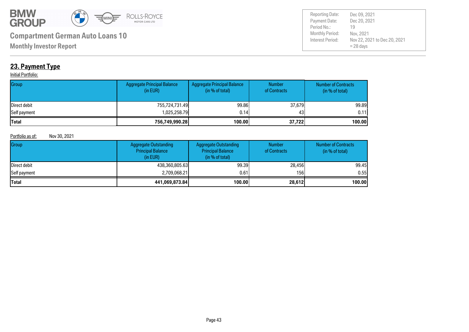

Payment Date: Period No.: Nov 22, 2021 to Dec 20, 2021 = 28 days Dec 20, 2021 Nov, 2021 19 Reporting Date: Dec 09, 2021

**Monthly Investor Report**

### **23. Payment Type**

#### **Initial Portfolio:**

| Group        | Aggregate Principal Balance<br>(in EUR) | Aggregate Principal Balance<br>(in % of total) | <b>Number</b><br>of Contracts | <b>Number of Contracts</b><br>(in % of total) |
|--------------|-----------------------------------------|------------------------------------------------|-------------------------------|-----------------------------------------------|
| Direct debit | 755,724,731.49                          | 99.86                                          | 37,679                        | 99.89                                         |
| Self payment | 1,025,258.79                            | 0.14                                           | 43                            | 0.11                                          |
| <b>Total</b> | 756,749,990.28                          | 100.00                                         | 37,722                        | 100.00                                        |

#### Portfolio as of: Nov 30, 2021

| Group                | <b>Aggregate Outstanding</b><br><b>Principal Balance</b><br>(in EUR) | <b>Aggregate Outstanding</b><br><b>Principal Balance</b><br>(in % of total) | <b>Number</b><br>of Contracts | <b>Number of Contracts</b><br>(in % of total) |
|----------------------|----------------------------------------------------------------------|-----------------------------------------------------------------------------|-------------------------------|-----------------------------------------------|
| <b>IDirect debit</b> | 438,360,805.63                                                       | 99.39                                                                       | 28,456                        | 99.45                                         |
| Self payment         | 2,709,068.21                                                         | 0.61                                                                        | 156I                          | 0.55                                          |
| <b>Total</b>         | 441,069,873.84                                                       | 100.00                                                                      | 28,612                        | 100.00                                        |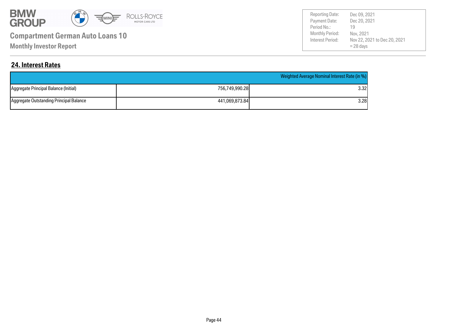

**Monthly Investor Report**

Payment Date: Period No.: Nov 22, 2021 to Dec 20, 2021 = 28 days Dec 20, 2021 Nov, 2021 19 Reporting Date: Dec 09, 2021

#### **24. Interest Rates**

|                                         |                | Weighted Average Nominal Interest Rate (in %) |
|-----------------------------------------|----------------|-----------------------------------------------|
| Aggregate Principal Balance (Initial)   | 756,749,990.28 | 3.32l                                         |
| Aggregate Outstanding Principal Balance | 441.069.873.84 | 3.28l                                         |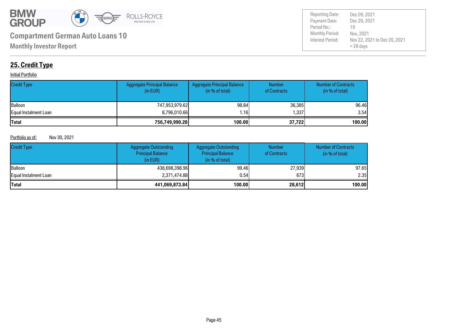

Payment Date: Period No.: Nov 22, 2021 to Dec 20, 2021 = 28 days Dec 20, 2021 Nov, 2021 19 Reporting Date: Dec 09, 2021

### **25. Credit Type**

#### **Initial Portfolio**

| <b>Credit Type</b>    | <b>Aggregate Principal Balance</b><br>(in EUR) | Aggregate Principal Balance<br>(in % of total) | <b>Number</b><br>of Contracts | <b>Number of Contracts</b><br>(in % of total) |
|-----------------------|------------------------------------------------|------------------------------------------------|-------------------------------|-----------------------------------------------|
| <b>Balloon</b>        | 747,953,979.62                                 | 98.84                                          | 36,385                        | 96.46                                         |
| Equal Instalment Loan | 8,796,010.66                                   | .16                                            | 337،،                         | 3.54                                          |
| <b>Total</b>          | 756,749,990.28                                 | 100.00                                         | 37,722                        | 100.00                                        |

#### Portfolio as of: Nov 30, 2021

| <b>Credit Type</b>    | <b>Aggregate Outstanding</b><br><b>Principal Balance</b><br>(in EUR) | Aggregate Outstanding<br><b>Principal Balance</b><br>(in % of total) | <b>Number</b><br>of Contracts | <b>Number of Contracts</b><br>(in $%$ of total) |
|-----------------------|----------------------------------------------------------------------|----------------------------------------------------------------------|-------------------------------|-------------------------------------------------|
| <b>Balloon</b>        | 438.698.398.96                                                       | 99.46                                                                | 27,939                        | 97.65                                           |
| Equal Instalment Loan | 2,371,474.88                                                         | 0.54                                                                 | 673                           | 2.35                                            |
| <b>Total</b>          | 441,069,873.84                                                       | 100.00                                                               | 28,612                        | 100.00                                          |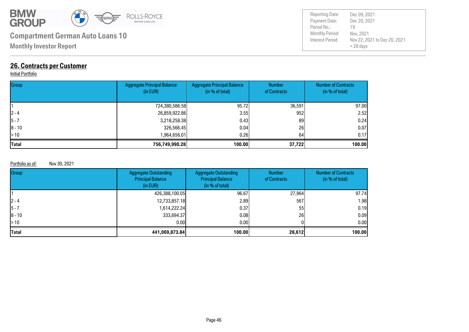

**Monthly Investor Report**

#### **26. Contracts per Customer**

#### **Initial Portfolio**

| Group        | <b>Aggregate Principal Balance</b><br>(in EUR) | <b>Aggregate Principal Balance</b><br>(in % of total) | <b>Number</b><br>of Contracts | <b>Number of Contracts</b><br>(in % of total) |
|--------------|------------------------------------------------|-------------------------------------------------------|-------------------------------|-----------------------------------------------|
|              | 724,380,586.58                                 | 95.72                                                 | 36,591                        | 97.00                                         |
| $ 2 - 4 $    | 26,859,922.86                                  | 3.55                                                  | 952                           | 2.52                                          |
| $ 5 - 7$     | 3,218,258.38                                   | 0.43                                                  | 89                            | 0.24                                          |
| $ 8 - 10$    | 326,566.45                                     | 0.04                                                  | 26                            | 0.07                                          |
| $\geq 10$    | 1,964,656.01                                   | 0.261                                                 | 64                            | 0.17                                          |
| <b>Total</b> | 756,749,990.28                                 | 100.00                                                | 37,722                        | 100.00                                        |

#### Portfolio as of: Nov 30, 2021

| Group        | <b>Aggregate Outstanding</b><br><b>Principal Balance</b><br>(in EUR) | <b>Aggregate Outstanding</b><br><b>Principal Balance</b><br>(in % of total) | <b>Number</b><br>of Contracts | <b>Number of Contracts</b><br>(in % of total) |
|--------------|----------------------------------------------------------------------|-----------------------------------------------------------------------------|-------------------------------|-----------------------------------------------|
|              | 426,388,100.05                                                       | 96.67                                                                       | 27,964                        | 97.74                                         |
| $ 2 - 4 $    | 12,733,857.18                                                        | 2.89                                                                        | 567                           | 1.98                                          |
| $ 5 - 7$     | 1,614,222.24                                                         | 0.37                                                                        | 55                            | 0.19                                          |
| $ 8 - 10$    | 333,694.37                                                           | 0.08                                                                        | 26                            | 0.09                                          |
| >10          | 0.00                                                                 | 0.001                                                                       |                               | 0.00                                          |
| <b>Total</b> | 441,069,873.84                                                       | 100.00                                                                      | 28,612                        | 100.00                                        |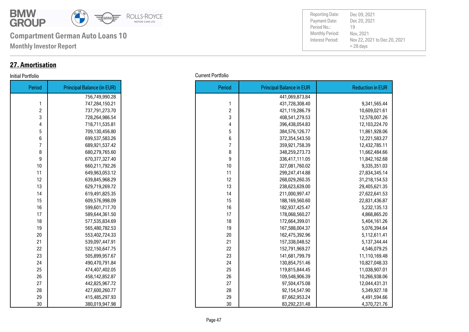

**Monthly Investor Report**

#### **27. Amortisation**

| Period         | <b>Principal Balance (in EUR)</b> |
|----------------|-----------------------------------|
|                | 756,749,990.28                    |
| 1              | 747,284,150.21                    |
| $\overline{c}$ | 737,791,273.70                    |
| 3              | 728,264,986.54                    |
| 4              | 718,711,535.81                    |
| 5              | 709,130,456.80                    |
| 6              | 699,537,583.26                    |
| 7              | 689,921,537.42                    |
| 8              | 680,279,765.60                    |
| 9              | 670,377,327.40                    |
| 10             | 660,211,792.26                    |
| 11             | 649,963,053.12                    |
| 12             | 639,845,968.29                    |
| 13             | 629,719,269.72                    |
| 14             | 619,491,825.35                    |
| 15             | 609,576,998.09                    |
| 16             | 599,601,717.70                    |
| 17             | 589,644,361.50                    |
| 18             | 577,535,834.69                    |
| 19             | 565,480,782.53                    |
| 20             | 553,402,724.33                    |
| 21             | 539,097,447.91                    |
| 22             | 522,150,647.75                    |
| 23             | 505,899,957.67                    |
| 24             | 490,470,791.84                    |
| 25             | 474,407,402.05                    |
| 26             | 458,142,852.87                    |
| 27             | 442,825,967.72                    |
| 28             | 427,600,260.77                    |
| 29             | 415,485,297.93                    |
| 30             | 380,019,947.98                    |

| Initial Portfolio | <b>Current Portfolio</b> |
|-------------------|--------------------------|
|-------------------|--------------------------|

| Period         | <b>Principal Balance (in EUR)</b> |
|----------------|-----------------------------------|
|                | 756,749,990.28                    |
| 1              | 747,284,150.21                    |
| $\overline{c}$ | 737,791,273.70                    |
| 3              | 728,264,986.54                    |
| 4              | 718,711,535.81                    |
| 5              | 709,130,456.80                    |
| 6              | 699,537,583.26                    |
| $\overline{7}$ | 689,921,537.42                    |
| 8              | 680,279,765.60                    |
| 9              | 670,377,327.40                    |
| 10             | 660,211,792.26                    |
| 11             | 649,963,053.12                    |
| 12             | 639,845,968.29                    |
| 13             | 629,719,269.72                    |
| 14             | 619,491,825.35                    |
| 15             | 609,576,998.09                    |
| 16             | 599,601,717.70                    |
| 17             | 589,644,361.50                    |
| 18             | 577,535,834.69                    |
| 19             | 565,480,782.53                    |
| 20             | 553,402,724.33                    |
| 21             | 539,097,447.91                    |
| 22             | 522,150,647.75                    |
| 23             | 505,899,957.67                    |
| 24             | 490,470,791.84                    |
| 25             | 474,407,402.05                    |
| 26             | 458,142,852.87                    |
| 27             | 442,825,967.72                    |
| 28             | 427,600,260.77                    |
| 29             | 415,485,297.93                    |
| 30             | 380,019,947.98                    |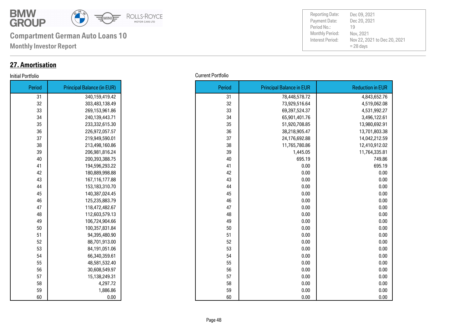

**Monthly Investor Report**

#### **27. Amortisation**

#### Initial Portfolio Current Portfolio

| Period | <b>Principal Balance (in EUR)</b> |
|--------|-----------------------------------|
| 31     | 340,159,419.42                    |
| 32     | 303,483,138.49                    |
| 33     | 269,153,961.86                    |
| 34     | 240,139,443.71                    |
| 35     | 233,332,615.30                    |
| 36     | 226,972,057.57                    |
| 37     | 219,949,590.01                    |
| 38     | 213,498,160.86                    |
| 39     | 206,981,816.24                    |
| 40     | 200,393,388.75                    |
| 41     | 194,596,293.22                    |
| 42     | 180,889,998.88                    |
| 43     | 167,116,177.88                    |
| 44     | 153,183,310.70                    |
| 45     | 140,387,024.45                    |
| 46     | 125,235,883.79                    |
| 47     | 118,472,482.67                    |
| 48     | 112,603,579.13                    |
| 49     | 106,724,904.66                    |
| 50     | 100,357,831.84                    |
| 51     | 94,395,480.90                     |
| 52     | 88,701,913.00                     |
| 53     | 84,191,051.06                     |
| 54     | 66,340,359.61                     |
| 55     | 48,581,532.40                     |
| 56     | 30,608,549.97                     |
| 57     | 15,138,249.31                     |
| 58     | 4,297.72                          |
| 59     | 1,886.86                          |
| 60     | 0.00                              |

| <b>Current Portfolio</b> |
|--------------------------|
|                          |

| Period | <b>Principal Balance (in EUR)</b> |
|--------|-----------------------------------|
| 31     | 340,159,419.42                    |
| 32     | 303,483,138.49                    |
| 33     | 269,153,961.86                    |
| 34     | 240,139,443.71                    |
| 35     | 233,332,615.30                    |
| 36     | 226,972,057.57                    |
| 37     | 219,949,590.01                    |
| 38     | 213,498,160.86                    |
| 39     | 206,981,816.24                    |
| 40     | 200,393,388.75                    |
| 41     | 194,596,293.22                    |
| 42     | 180,889,998.88                    |
| 43     | 167,116,177.88                    |
| 44     | 153,183,310.70                    |
| 45     | 140,387,024.45                    |
| 46     | 125,235,883.79                    |
| 47     | 118,472,482.67                    |
| 48     | 112,603,579.13                    |
| 49     | 106,724,904.66                    |
| 50     | 100,357,831.84                    |
| 51     | 94,395,480.90                     |
| 52     | 88,701,913.00                     |
| 53     | 84,191,051.06                     |
| 54     | 66,340,359.61                     |
| 55     | 48,581,532.40                     |
| 56     | 30,608,549.97                     |
| 57     | 15,138,249.31                     |
| 58     | 4,297.72                          |
| 59     | 1,886.86                          |
| 60     | 0.00                              |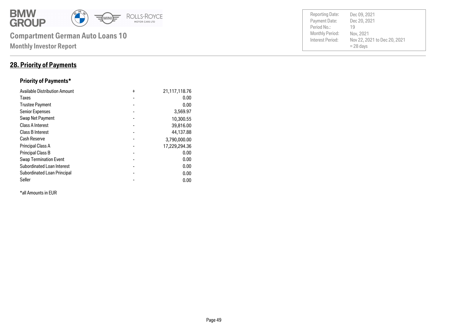

#### **28. Priority of Payments**

#### **Priority of Payments\***

| <b>Available Distribution Amount</b> | $\ddot{}$      | 21,117,118.76 |
|--------------------------------------|----------------|---------------|
| Taxes                                | $\blacksquare$ | 0.00          |
| <b>Trustee Payment</b>               |                | 0.00          |
| <b>Senior Expenses</b>               | $\blacksquare$ | 3,569.97      |
| Swap Net Payment                     |                | 10,300.55     |
| <b>Class A Interest</b>              |                | 39,816.00     |
| <b>Class B Interest</b>              |                | 44,137.88     |
| Cash Reserve                         |                | 3,790,000.00  |
| <b>Principal Class A</b>             |                | 17,229,294.36 |
| <b>Principal Class B</b>             |                | 0.00          |
| <b>Swap Termination Event</b>        |                | 0.00          |
| <b>Subordinated Loan Interest</b>    | $\blacksquare$ | 0.00          |
| <b>Subordinated Loan Principal</b>   |                | 0.00          |
| Seller                               |                | 0.00          |

\*all Amounts in EUR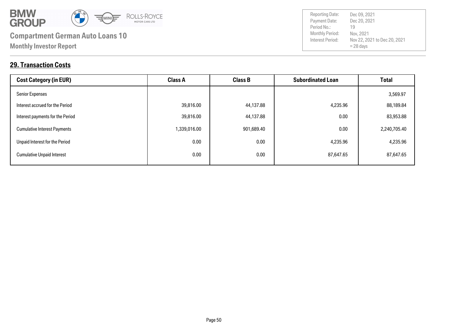

**29. Transaction Costs**

| <b>Cost Category (in EUR)</b>       | <b>Class A</b> | <b>Class B</b> | <b>Subordinated Loan</b> | <b>Total</b> |
|-------------------------------------|----------------|----------------|--------------------------|--------------|
| <b>Senior Expenses</b>              |                |                |                          | 3,569.97     |
| Interest accrued for the Period     | 39,816.00      | 44,137.88      | 4,235.96                 | 88,189.84    |
| Interest payments for the Period    | 39,816.00      | 44,137.88      | 0.00                     | 83,953.88    |
| <b>Cumulative Interest Payments</b> | 1,339,016.00   | 901,689.40     | 0.00                     | 2,240,705.40 |
| Unpaid Interest for the Period      | 0.00           | 0.00           | 4,235.96                 | 4,235.96     |
| <b>Cumulative Unpaid Interest</b>   | 0.00           | 0.00           | 87,647.65                | 87,647.65    |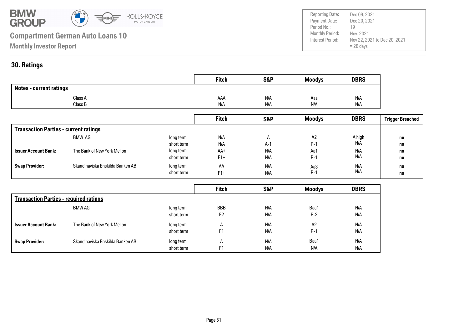

Payment Date: Period No.: Nov 22, 2021 to Dec 20, 2021 = 28 days Dec 20, 2021 Nov, 2021 19 Reporting Date: Dec 09, 2021

#### **30. Ratings**

|                                | <b>Fitch</b> | <b>S&amp;P</b> | <b>Moodys</b> | <b>DBRS</b> |
|--------------------------------|--------------|----------------|---------------|-------------|
| <b>Notes - current ratings</b> |              |                |               |             |
| Class A                        | AAA          | N/A            | Aaa           | N/A         |
| Class B                        | N/A          | N/A            | N/A           | N/A         |

|                                              |                                  |            | <b>Fitch</b> | <b>S&amp;P</b> | <b>Moodys</b>  | <b>DBRS</b> | <b>Trigger Breached</b> |
|----------------------------------------------|----------------------------------|------------|--------------|----------------|----------------|-------------|-------------------------|
| <b>Transaction Parties - current ratings</b> |                                  |            |              |                |                |             |                         |
|                                              | BMW AG                           | long term  | N/A          | $\mathsf{H}$   | A <sub>2</sub> | A high      | no                      |
|                                              |                                  | short term | N/A          | $A-1$          | $P-1$          | N/A         | no                      |
| <b>Issuer Account Bank:</b>                  | The Bank of New York Mellon      | long term  | AA+          | N/A            | Aa1            | N/A         | no                      |
|                                              |                                  | short term | $F1+$        | N/A            | $P-1$          | N/A         | no                      |
| <b>Swap Provider:</b>                        | Skandinaviska Enskilda Banken AB | long term  | AA           | N/A            | Aa3            | N/A         | no                      |
|                                              |                                  | short term | $F1+$        | N/A            | $P-1$          | N/A         | no                      |

|                                               |                                  |            | <b>Fitch</b>   | <b>S&amp;P</b> | <b>Moodys</b> | <b>DBRS</b> |
|-----------------------------------------------|----------------------------------|------------|----------------|----------------|---------------|-------------|
| <b>Transaction Parties - required ratings</b> |                                  |            |                |                |               |             |
|                                               | BMW AG                           | long term  | <b>BBB</b>     | N/A            | Baa1          | N/A         |
|                                               |                                  | short term | F <sub>2</sub> | N/A            | $P-2$         | N/A         |
| <b>Issuer Account Bank:</b>                   | The Bank of New York Mellon      | long term  | $\mathsf{A}$   | N/A            | A2            | N/A         |
|                                               |                                  | short term | F <sub>1</sub> | N/A            | $P-1$         | N/A         |
| <b>Swap Provider:</b>                         | Skandinaviska Enskilda Banken AB | long term  | $\mathsf{A}$   | N/A            | Baa1          | N/A         |
|                                               |                                  | short term | F1             | N/A            | N/A           | N/A         |